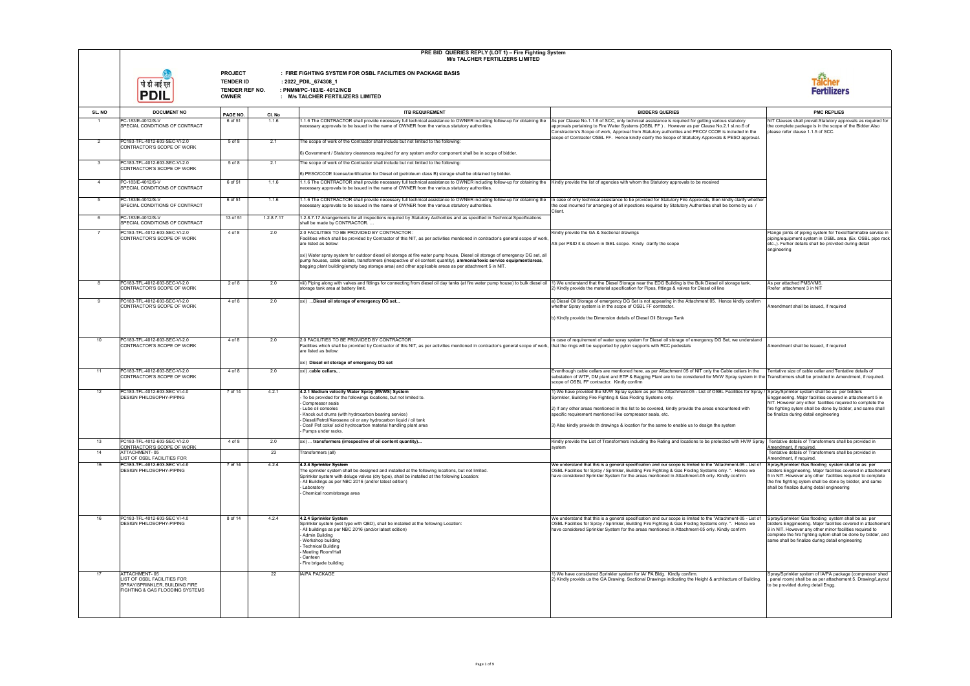|                |                                                                                                                   |                                                                      |            | PRE BID QUERIES REPLY (LOT 1) - Fire Fighting System<br><b>M/s TALCHER FERTILIZERS LIMITED</b>                                                                                                                                                                                                                                                                                                                                                                       |                                                                                                                                                                                                                                                                                                                                                                                                                                                                                                |                                                                                                                                                                                                                                                                                                                             |
|----------------|-------------------------------------------------------------------------------------------------------------------|----------------------------------------------------------------------|------------|----------------------------------------------------------------------------------------------------------------------------------------------------------------------------------------------------------------------------------------------------------------------------------------------------------------------------------------------------------------------------------------------------------------------------------------------------------------------|------------------------------------------------------------------------------------------------------------------------------------------------------------------------------------------------------------------------------------------------------------------------------------------------------------------------------------------------------------------------------------------------------------------------------------------------------------------------------------------------|-----------------------------------------------------------------------------------------------------------------------------------------------------------------------------------------------------------------------------------------------------------------------------------------------------------------------------|
|                | पी डी आई एल<br><b>PDIL</b>                                                                                        | <b>PROJECT</b><br><b>TENDER ID</b><br>TENDER REF NO.<br><b>OWNER</b> |            | : FIRE FIGHTING SYSTEM FOR OSBL FACILITIES ON PACKAGE BASIS<br>: 2022_PDIL_674308_1<br>: PNMM/PC-183/E-4012/NCB<br>: M/s TALCHER FERTILIZERS LIMITED                                                                                                                                                                                                                                                                                                                 |                                                                                                                                                                                                                                                                                                                                                                                                                                                                                                | <b>Talcher<br/>Fertilizers</b>                                                                                                                                                                                                                                                                                              |
| SL. NO         | <b>DOCUMENT NO</b>                                                                                                | PAGE NO.                                                             | CI. No     | <b>ITB REQUIREMENT</b>                                                                                                                                                                                                                                                                                                                                                                                                                                               | <b>BIDDERS QUERIES</b>                                                                                                                                                                                                                                                                                                                                                                                                                                                                         | <b>PMC REPLIES</b>                                                                                                                                                                                                                                                                                                          |
| $\overline{1}$ | PC-183/E-4012/S-V<br>SPECIAL CONDITIONS OF CONTRACT                                                               | 6 of 51                                                              | 1.1.6      | 1.1.6 The CONTRACTOR shall provide necessary full technical assistance to OWNER including follow-up for obtaining the<br>necessary approvals to be issued in the name of OWNER from the various statutory authorities.                                                                                                                                                                                                                                               | As per Clause No.1.1.6 of SCC, only technical assistance is required for getting various statutory<br>approvals pertaining to Fire Water Systems (OSBL FF). However as per Clause No.2.1 sl.no.6 of<br>Constractors's Scope of work, Approval from Statutory authorities and PECO/ CCOE is included in the<br>scope of Contractor OSBL FF. Hence kindly clarify the Scope of Statutory Approvals & PESO approval.                                                                              | NIT Clauses shall prevail. Statutory approvals as required for<br>the complete package is in the scope of the Bidder.Also<br>please refer clause 1.1.5 of SCC.                                                                                                                                                              |
| 2              | PC183-TFL-4012-603-SEC-VI-2.0<br>CONTRACTOR'S SCOPE OF WORK                                                       | 5 of 8                                                               | 2.1        | The scope of work of the Contractor shall include but not limited to the following:<br>6) Government / Statutory clearances required for any system and/or component shall be in scope of bidder.                                                                                                                                                                                                                                                                    |                                                                                                                                                                                                                                                                                                                                                                                                                                                                                                |                                                                                                                                                                                                                                                                                                                             |
| $\mathbf{3}$   | PC183-TFL-4012-603-SEC-VI-2.0<br>CONTRACTOR'S SCOPE OF WORK                                                       | 5 of 8                                                               | 2.1        | The scope of work of the Contractor shall include but not limited to the following:<br>6) PESO/CCOE license/certification for Diesel oil (petroleum class B) storage shall be obtained by bidder.                                                                                                                                                                                                                                                                    |                                                                                                                                                                                                                                                                                                                                                                                                                                                                                                |                                                                                                                                                                                                                                                                                                                             |
| $\overline{4}$ | PC-183/E-4012/S-V<br>SPECIAL CONDITIONS OF CONTRACT                                                               | 6 of 51                                                              | 1.1.6      | 1.1.6 The CONTRACTOR shall provide necessary full technical assistance to OWNER including follow-up for obtaining the Kindly provide the list of agencies with whom the Statutory approvals to be received<br>necessary approvals to be issued in the name of OWNER from the various statutory authorities.                                                                                                                                                          |                                                                                                                                                                                                                                                                                                                                                                                                                                                                                                |                                                                                                                                                                                                                                                                                                                             |
| 5              | PC-183/E-4012/S-V<br>SPECIAL CONDITIONS OF CONTRACT                                                               | 6 of 51                                                              | 1.1.6      | 1.1.6 The CONTRACTOR shall provide necessary full technical assistance to OWNER including follow-up for obtaining the<br>necessary approvals to be issued in the name of OWNER from the various statutory authorities.                                                                                                                                                                                                                                               | In case of only technical assistance to be provided for Statutory Fire Approvals, then kindly clarify whether<br>the cost incurred for arranging of all inpections required by Statutory Authorities shall be borne by us /<br>Client.                                                                                                                                                                                                                                                         |                                                                                                                                                                                                                                                                                                                             |
| 6              | PC-183/E-4012/S-V<br>SPECIAL CONDITIONS OF CONTRACT                                                               | 13 of 51                                                             | 1.2.8.7.17 | 1.2.8.7.17 Arrangements for all inspections required by Statutory Authorities and as specified in Technical Specifications<br>shall be made by CONTRACTOR.                                                                                                                                                                                                                                                                                                           |                                                                                                                                                                                                                                                                                                                                                                                                                                                                                                |                                                                                                                                                                                                                                                                                                                             |
| $\overline{7}$ | PC183-TFL-4012-603-SEC-VI-2.0<br>CONTRACTOR'S SCOPE OF WORK                                                       | 4 of 8                                                               | 2.0        | 2.0 FACILITIES TO BE PROVIDED BY CONTRACTOR :<br>Facilities which shall be provided by Contractor of this NIT, as per activities mentioned in contractor's general scope of work,<br>are listed as below:<br>xxi) Water spray system for outdoor diesel oil storage at fire water pump house, Diesel oil storage of emergency DG set, all<br>pump houses, cable cellars, transformers (irrespective of oil content quantity), ammonia/toxic service equipment/areas, | Kindly provide the GA & Sectional drawings<br>AS per P&ID it is shown in ISBL scope. Kindy clarify the scope                                                                                                                                                                                                                                                                                                                                                                                   | Flange joints of piping system for Toxic/flammable service in<br>piping/equipment system in OSBL area. (Ex. OSBL pipe rack<br>etc.,). Furher details shall be provided during detail<br>engineering                                                                                                                         |
| -8             | PC183-TFL-4012-603-SEC-VI-2.0                                                                                     | 2 of 8                                                               | 2.0        | bagging plant building(empty bag storage area) and other applicable areas as per attachment 5 in NIT.<br>viii) Piping along with valves and fittings for connecting from diesel oil day tanks (at fire water pump house) to bulk diesel oil                                                                                                                                                                                                                          | 1) We understand that the Diesel Storage near the EDG Building is the Bulk Diesel oil storage tank.                                                                                                                                                                                                                                                                                                                                                                                            | As per attached PMS/VMS.                                                                                                                                                                                                                                                                                                    |
|                | CONTRACTOR'S SCOPE OF WORK                                                                                        |                                                                      |            | storage tank area at battery limit.                                                                                                                                                                                                                                                                                                                                                                                                                                  | 2) Kindly provide the material specification for Pipes, fittings & valves for Diesel oil line                                                                                                                                                                                                                                                                                                                                                                                                  | Rrefer attachment 3 in NIT                                                                                                                                                                                                                                                                                                  |
| -9             | PC183-TFL-4012-603-SEC-VI-2.0<br>CONTRACTOR'S SCOPE OF WORK                                                       | 4 of 8                                                               | 2.0        | xxi)  Diesel oil storage of emergency DG set                                                                                                                                                                                                                                                                                                                                                                                                                         | a) Diesel Oil Storage of emergency DG Set is not appearing in the Attachment 05. Hence kindly confirm<br>whether Spray system is in the scope of OSBL FF contractor.<br>b) Kindly provide the Dimension details of Diesel Oil Storage Tank                                                                                                                                                                                                                                                     | Amendment shall be issued, if required                                                                                                                                                                                                                                                                                      |
| 10             | PC183-TFL-4012-603-SEC-VI-2.0<br>CONTRACTOR'S SCOPE OF WORK                                                       | 4 of 8                                                               | 2.0        | 2.0 FACILITIES TO BE PROVIDED BY CONTRACTOR<br>Facilities which shall be provided by Contractor of this NIT, as per activities mentioned in contractor's general scope of work,  that the rings will be supported by pylon supports with RCC pedestals<br>are listed as below:<br>xxi) Diesel oil storage of emergency DG set                                                                                                                                        | n case of requirement of water spray system for Diesel oil storage of emergency DG Set, we understand                                                                                                                                                                                                                                                                                                                                                                                          | Amendment shall be issued, if required                                                                                                                                                                                                                                                                                      |
| 11             | PC183-TFL-4012-603-SEC-VI-2.0<br>CONTRACTOR'S SCOPE OF WORK                                                       | 4 of 8                                                               | 2.0        | xxi) cable cellars                                                                                                                                                                                                                                                                                                                                                                                                                                                   | Eventhough cable cellars are mentioned here, as per Attachment 05 of NIT only the Cable cellars in the<br>substation of WTP, DM plant and ETP & Bagging Plant are to be considered for MVW Spray system in the Transformers shall be provided in Amendment, if required<br>scope of OSBL FF contractor. Kindly confirm                                                                                                                                                                         | Tentative size of cable cellar and Tentative details of                                                                                                                                                                                                                                                                     |
| 12             | PC183-TFL-4012-603-SEC VI-4.0<br><b>DESIGN PHILOSOPHY-PIPING</b>                                                  | 7 of 14                                                              | 4.2.1      | 4.2.1 Medium velocity Water Spray (MVWS) System<br>To be provided for the followings locations, but not limited to.<br>Compressor seals<br>Lube oil consoles<br>Knock out drums (with hydrocarbon bearing service)<br>Diesel/Petrol/Kerosene oil or any hydrocarbon liquid / oil tank<br>Coal/ Pet coke/ solid hydrocarbon material handling plant area<br>- Pumps under racks.                                                                                      | 1) We have provided the MVW Spray system as per the Attachment-05 - List of OSBL Facilities for Spray / Spray/Sprinkler system shall be as per bidders<br>Sprinkler, Building Fire Fighting & Gas Floding Systems only.<br>2) If any other areas mentioned in this list to be covered, kindly provide the areas encountered with<br>specific requirement mentioned like compressor seals, etc.<br>3) Also kindly provide th drawings & location for the same to enable us to design the system | Enggineering. Major facilities covered in attachement 5 in<br>NIT. However any other facilities required to complete the<br>fire fighting sytem shall be done by bidder, and same shall<br>be finalize during detail engineering                                                                                            |
| 13<br>14       | PC183-TFL-4012-603-SEC-VI-2.0<br>CONTRACTOR'S SCOPE OF WORK<br>ATTACHMENT-05                                      | 4 of 8                                                               | 2.0<br>23  | xxi)  transformers (irrespective of oil content quantity)<br>Transformers (all)                                                                                                                                                                                                                                                                                                                                                                                      | Kindly provide the List of Transformers including the Rating and locations to be protected with HVW Spray<br>system                                                                                                                                                                                                                                                                                                                                                                            | Tentative details of Transformers shall be provided in<br>Amendment, if required.<br>Tentative details of Transformers shall be provided in                                                                                                                                                                                 |
| 15             | LIST OF OSBL FACILITIES FOR<br>PC183-TFL-4012-603-SEC VI-4.0<br><b>DESIGN PHILOSOPHY-PIPING</b>                   | 7 of 14                                                              | 4.2.4      | 4.2.4 Sprinkler System<br>The sprinkler system shall be designed and installed at the following locations, but not limited.<br>Sprinkler system with deluge valves (dry type), shall be installed at the following Location:<br>All Buildings as per NBC 2016 (and/or latest edition)<br>Laboratory<br>Chemical room/storage area                                                                                                                                    | We understand that this is a general specification and our scope is limited to the "Attachment-05 - List of<br>OSBL Facilities for Spray / Sprinkler, Building Fire Fighting & Gas Floding Systems only. ". Hence we<br>have considered Sprinkler System for the areas mentioned in Attachment-05 only. Kindly confirm                                                                                                                                                                         | Amendment, if required.<br>Spray/Sprinkler/ Gas flooding system shall be as per<br>bidders Enggineering. Major facilities covered in attachement<br>5 in NIT. However any other facilities required to complete<br>the fire fighting sytem shall be done by bidder, and same<br>shall be finalize during detail engineering |
| 16             | PC183-TFL-4012-603-SEC VI-4.0<br><b>DESIGN PHILOSOPHY-PIPING</b>                                                  | 8 of 14                                                              | 4.2.4      | 4.2.4 Sprinkler System<br>Sprinkler system (wet type with QBD), shall be installed at the following Location:<br>- All buildings as per NBC 2016 (and/or latest edition)<br>Admin Building<br>Workshop building<br><b>Technical Building</b><br>Meeting Room/Hall<br>Canteen<br>- Fire brigade building                                                                                                                                                              | We understand that this is a general specification and our scope is limited to the "Attachment-05 - List of<br>OSBL Facilities for Spray / Sprinkler, Building Fire Fighting & Gas Floding Systems only. ". Hence we<br>have considered Sprinkler System for the areas mentioned in Attachment-05 only. Kindly confirm                                                                                                                                                                         | Spray/Sprinkler/ Gas flooding system shall be as per<br>bidders Enggineering. Major facilities covered in attachement<br>9 in NIT. However any other minor facilities required to<br>complete the fire fighting sytem shall be done by bidder, and<br>same shall be finalize during detail engineering                      |
| 17             | ATTACHMENT-05<br>LIST OF OSBL FACILITIES FOR<br>SPRAY/SPRINKLER, BUILDING FIRE<br>FIGHTING & GAS FLOODING SYSTEMS |                                                                      | 22         | <b>IA/PA PACKAGE</b>                                                                                                                                                                                                                                                                                                                                                                                                                                                 | 1) We have considered Sprinkler system for IA/ PA Bldg. Kindly confirm.<br>2) Kindly provide us the GA Drawing, Sectional Drawings indicating the Height & architecture of Building.                                                                                                                                                                                                                                                                                                           | Spray/Sprinkler system of IA/PA package (compressor shed<br>panel room) shall be as per attachement 5. Drawing/Layout<br>to be provided during detail Engg.                                                                                                                                                                 |

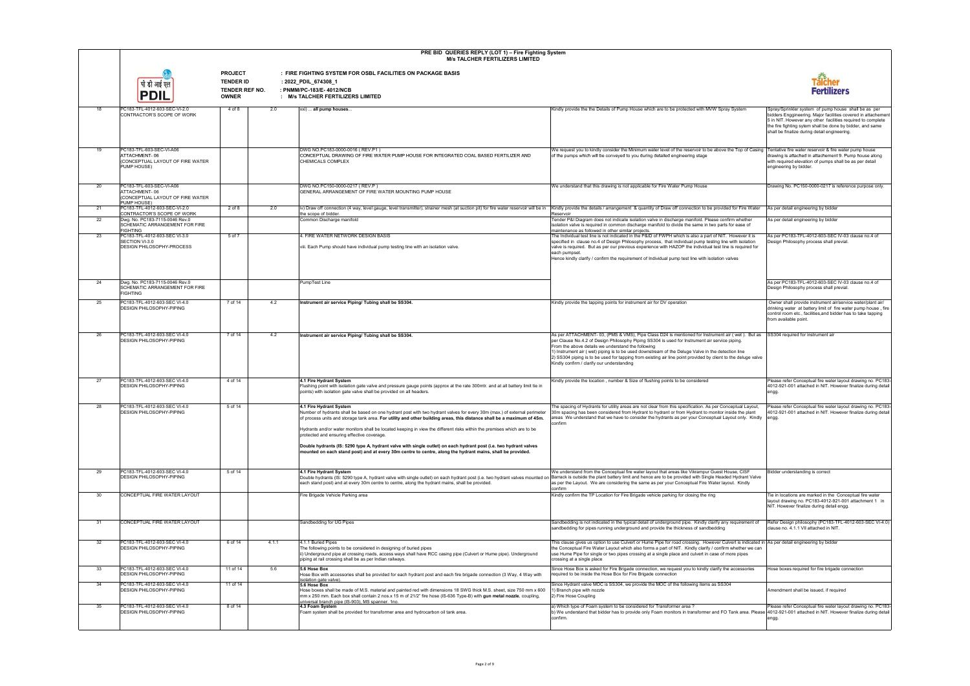|          | PRE BID QUERIES REPLY (LOT 1) - Fire Fighting System<br><b>M/s TALCHER FERTILIZERS LIMITED</b>                                |                                                                      |       |                                                                                                                                                                                                                                                                                                                                                                                                                                                                                                                                                                                                                                                                                                                                                                                                   |                                                                                                                                                                                                                                                                                                                                                                                                                                                                                                                               |                                                                                                                                                                                                                                                                                                   |
|----------|-------------------------------------------------------------------------------------------------------------------------------|----------------------------------------------------------------------|-------|---------------------------------------------------------------------------------------------------------------------------------------------------------------------------------------------------------------------------------------------------------------------------------------------------------------------------------------------------------------------------------------------------------------------------------------------------------------------------------------------------------------------------------------------------------------------------------------------------------------------------------------------------------------------------------------------------------------------------------------------------------------------------------------------------|-------------------------------------------------------------------------------------------------------------------------------------------------------------------------------------------------------------------------------------------------------------------------------------------------------------------------------------------------------------------------------------------------------------------------------------------------------------------------------------------------------------------------------|---------------------------------------------------------------------------------------------------------------------------------------------------------------------------------------------------------------------------------------------------------------------------------------------------|
|          | पी डी आई एल<br><b>PDIL</b>                                                                                                    | <b>PROJECT</b><br><b>TENDER ID</b><br>TENDER REF NO.<br><b>OWNER</b> |       | : FIRE FIGHTING SYSTEM FOR OSBL FACILITIES ON PACKAGE BASIS<br>: 2022_PDIL_674308_1<br>: PNMM/PC-183/E-4012/NCB<br>: M/s TALCHER FERTILIZERS LIMITED                                                                                                                                                                                                                                                                                                                                                                                                                                                                                                                                                                                                                                              |                                                                                                                                                                                                                                                                                                                                                                                                                                                                                                                               | Talcher<br>Fertilizers                                                                                                                                                                                                                                                                            |
| 18       | PC183-TFL-4012-603-SEC-VI-2.0<br>CONTRACTOR'S SCOPE OF WORK                                                                   | 4 of 8                                                               | 2.0   | xxi)  all pump houses                                                                                                                                                                                                                                                                                                                                                                                                                                                                                                                                                                                                                                                                                                                                                                             | Kindly provide the the Details of Pump House which are to be protected with MVW Spray System                                                                                                                                                                                                                                                                                                                                                                                                                                  | Spray/Sprinkler system of pump house shall be as per<br>bidders Enggineering. Major facilities covered in attachement<br>5 in NIT. However any other facilities required to complete<br>the fire fighting sytem shall be done by bidder, and same<br>shall be finalize during detail engineering. |
|          | PC183-TFL-603-SEC-VI-A06<br>ATTACHMENT-06<br>(CONCEPTUAL LAYOUT OF FIRE WATER<br>PUMP HOUSE)                                  |                                                                      |       | DWG NO.PC183-0000-0016 (REV.P1)<br>CONCEPTUAL DRAWING OF FIRE WATER PUMP HOUSE FOR INTEGRATED COAL BASED FERTILIZER AND<br>CHEMICALS COMPLEX                                                                                                                                                                                                                                                                                                                                                                                                                                                                                                                                                                                                                                                      | We request you to kindly consider the Minimum water level of the reservoir to be above the Top of Casing<br>of the pumps which will be conveyed to you during detailed engineering stage                                                                                                                                                                                                                                                                                                                                      | Tentative fire water reservoir & fire water pump house<br>drawing is attached in attachement 9. Pump house along<br>with required elevation of pumps shall be as per detail<br>engineering by bidder.                                                                                             |
| 20       | PC183-TFL-603-SEC-VI-A06<br>ATTACHMENT-06<br>(CONCEPTUAL LAYOUT OF FIRE WATER<br>PUMP HOUSE)                                  |                                                                      |       | DWG NO.PC150-0000-0217 (REV.P)<br>GENERAL ARRANGEMENT OF FIRE WATER MOUNTING PUMP HOUSE                                                                                                                                                                                                                                                                                                                                                                                                                                                                                                                                                                                                                                                                                                           | We understand that this drawing is not applicable for Fire Water Pump House                                                                                                                                                                                                                                                                                                                                                                                                                                                   | Drawing No. PC150-0000-0217 is reference purpose only.                                                                                                                                                                                                                                            |
| 21       | PC183-TFL-4012-603-SEC-VI-2.0<br>CONTRACTOR'S SCOPE OF WORK                                                                   | $2$ of $8$                                                           | 2.0   | iv) Draw off connection (4 way, level gauge, level transmitter), strainer mesh (at suction pit) for fire water reservoir will be in<br>the scope of bidder.                                                                                                                                                                                                                                                                                                                                                                                                                                                                                                                                                                                                                                       | Kindly provide the details / arrangement & quantity of Draw off connection to be provided for Fire Water<br>Reservoir                                                                                                                                                                                                                                                                                                                                                                                                         | As per detail engineering by bidder                                                                                                                                                                                                                                                               |
| 22       | Dwg. No. PC183-7115-0046 Rev.0<br>SCHEMATIC ARRANGEMENT FOR FIRE<br><b>FIGHTING</b>                                           |                                                                      |       | Common Discharge manifold                                                                                                                                                                                                                                                                                                                                                                                                                                                                                                                                                                                                                                                                                                                                                                         | Tender P&I Diagram does not indicate isolation valve in discharge manifold. Please confirm whether<br>isolation valve is required in common discharge manifold to divide the same in two parts for ease of<br>maintenance as followed in other similar projects                                                                                                                                                                                                                                                               | As per detail engineering by bidder                                                                                                                                                                                                                                                               |
| 23       | PC183-TFL-4012-603-SEC VI-3.0<br>SECTION VI-3.0<br>DESIGN PHILOSOPHY-PROCESS                                                  | 5 of 7                                                               |       | 4. FIRE WATER NETWORK DESIGN BASIS<br>viii. Each Pump should have individual pump testing line with an isolation valve.                                                                                                                                                                                                                                                                                                                                                                                                                                                                                                                                                                                                                                                                           | The Individual test line is not indicated in the P&ID of FWPH which is also a part of NIT. However it is<br>specified in clause no.4 of Design Philosophy process, that individual pump testing line with isolation<br>valve is required. But as per our previous experience with HAZOP the individual test line is required for<br>each pumpset.<br>Hence kindly clarify / confirm the requirement of Individual pump test line with isolation valves                                                                        | As per PC183-TFL-4012-603-SEC IV-03 clause no.4 of<br>Design Philosophy process shall previal.                                                                                                                                                                                                    |
| 24       | Dwg. No. PC183-7115-0046 Rev.0<br>SCHEMATIC ARRANGEMENT FOR FIRE<br><b>FIGHTING</b>                                           |                                                                      |       | PumpTest Line                                                                                                                                                                                                                                                                                                                                                                                                                                                                                                                                                                                                                                                                                                                                                                                     |                                                                                                                                                                                                                                                                                                                                                                                                                                                                                                                               | As per PC183-TFL-4012-603-SEC IV-03 clause no.4 of<br>Design Philosophy process shall previal.                                                                                                                                                                                                    |
| 25       | PC183-TFL-4012-603-SEC VI-4.0<br>DESIGN PHILOSOPHY-PIPING                                                                     | 7 of 14                                                              | 4.2   | Instrument air service Piping/ Tubing shall be SS304.                                                                                                                                                                                                                                                                                                                                                                                                                                                                                                                                                                                                                                                                                                                                             | Kindly provide the tapping points for instrument air for DV operation                                                                                                                                                                                                                                                                                                                                                                                                                                                         | Owner shall provide instrument air/service water/plant air/<br>drinking water at battery limit of fire water pump house, fire<br>control room etc., facilities, and bidder has to take tapping<br>from available point.                                                                           |
| 26       | PC183-TFL-4012-603-SEC VI-4.0<br>DESIGN PHILOSOPHY-PIPING                                                                     | 7 of 14                                                              | 4.2   | Instrument air service Piping/ Tubing shall be SS304.                                                                                                                                                                                                                                                                                                                                                                                                                                                                                                                                                                                                                                                                                                                                             | As per ATTACHMENT- 03, (PMS & VMS), Pipe Class D24 is mentioned for Instrument air (wet). But as<br>per Clause No.4.2 of Design Philosophy Piping SS304 is used for Instrument air service piping.<br>From the above details we understand the following<br>1) Instrument air (wet) piping is to be used downstream of the Deluge Valve in the detection line<br>[2) SS304 piping is to be used for tapping from existing air line point provided by client to the deluge valve<br>Kindly confirm / clarify our understanding | SS304 required for instrument air                                                                                                                                                                                                                                                                 |
| 27       | PC183-TFL-4012-603-SEC VI-4.0<br>DESIGN PHILOSOPHY-PIPING                                                                     | 4 of 14                                                              |       | 4.1 Fire Hydrant System<br>Flushing point with isolation gate valve and pressure gauge points (approx at the rate 300mtr. and at all battery limit tie in<br>points) with isolation gate valve shall be provided on all headers.                                                                                                                                                                                                                                                                                                                                                                                                                                                                                                                                                                  | Kindly provide the location, number & Size of flushing points to be considered                                                                                                                                                                                                                                                                                                                                                                                                                                                | Please refer Conceptual fire water layout drawing no. PC183-<br>4012-921-001 attached in NIT. However finalize during detail<br>engg.                                                                                                                                                             |
| 28       | PC183-TFL-4012-603-SEC VI-4.0<br>DESIGN PHILOSOPHY-PIPING                                                                     | 5 of 14                                                              |       | 4.1 Fire Hydrant System<br>Number of hydrants shall be based on one hydrant post with two hydrant valves for every 30m (max.) of external perimeter<br>of process units and storage tank area. For utility and other building areas, this distance shall be a maximum of 45m. areas We understand that we have to consider the hydrants as per your Conceptual Layout only. Kindly en<br>Hydrants and/or water monitors shall be located keeping in view the different risks within the premises which are to be<br>protected and ensuring effective coverage.<br>Double hydrants (IS: 5290 type A, hydrant valve with single outlet) on each hydrant post (i.e. two hydrant valves<br>mounted on each stand post) and at every 30m centre to centre, along the hydrant mains, shall be provided. | The spacing of Hydrants for utility areas are not clear from this specification. As per Conceptual Layout,<br>30m spacing has been considered from Hydrant to hydrant or from Hydrant to monitor inside the plant<br>confirm                                                                                                                                                                                                                                                                                                  | Please refer Conceptual fire water layout drawing no. PC183-<br>4012-921-001 attached in NIT. However finalize during detail                                                                                                                                                                      |
| 29       | PC183-TFL-4012-603-SEC VI-4.0<br><b>DESIGN PHILOSOPHY-PIPING</b>                                                              | 5 of 14                                                              |       | 4.1 Fire Hydrant System<br>Double hydrants (IS: 5290 type A, hydrant valve with single outlet) on each hydrant post (i.e. two hydrant valves mounted on Barrack is outside the plant battery limit and hence are to be provided with Single Headed Hydran<br>each stand post) and at every 30m centre to centre, along the hydrant mains, shall be provided.                                                                                                                                                                                                                                                                                                                                                                                                                                      | We understand from the Conceptual fire water layout that areas like Vikrampur Guest House, CISF<br>as per the Layout. We are considering the same as per your Conceptual Fire Water layout. Kindly<br>confirm                                                                                                                                                                                                                                                                                                                 | Bidder understanding is correct                                                                                                                                                                                                                                                                   |
| 30       | CONCEPTUAL FIRE WATER LAYOUT                                                                                                  |                                                                      |       | Fire Brigade Vehicle Parking area                                                                                                                                                                                                                                                                                                                                                                                                                                                                                                                                                                                                                                                                                                                                                                 | Kindly confirm the TP Location for Fire Brigade vehicle parking for closing the ring                                                                                                                                                                                                                                                                                                                                                                                                                                          | Tie in locations are marked in the Conceptual fire water<br>layout drawing no. PC183-4012-921-001 attachment 1 in<br>NIT. However finalize during detail engg.                                                                                                                                    |
| 31       | CONCEPTUAL FIRE WATER LAYOUT                                                                                                  |                                                                      |       | Sandbedding for UG Pipes                                                                                                                                                                                                                                                                                                                                                                                                                                                                                                                                                                                                                                                                                                                                                                          | Sandbedding is not indicated in the typical detail of underground pipe. Kindly clarify any requirement of<br>sandbedding for pipes running underground and provide the thickness of sandbedding                                                                                                                                                                                                                                                                                                                               | Refer Design philosophy (PC183-TFL-4012-603-SEC VI-4.0)<br>clause no. 4.1.1 VII attached in NIT.                                                                                                                                                                                                  |
| 32       | PC183-TFL-4012-603-SEC VI-4.0<br><b>DESIGN PHILOSOPHY-PIPING</b>                                                              | 6 of 14                                                              | 4.1.1 | 4.1.1 Buried Pipes<br>The following points to be considered in designing of buried pipes<br>ii) Underground pipe at crossing roads, access ways shall have RCC casing pipe (Culvert or Hume pipe). Underground<br>piping at rail crossing shall be as per Indian railways.                                                                                                                                                                                                                                                                                                                                                                                                                                                                                                                        | This clause gives us option to use Culvert or Hume Pipe for road crossing. However Culvert is indicated in As per detail engineering by bidder<br>the Conceptual Fire Water Layout which also forms a part of NIT. Kindly clarify / confirm whether we can<br>use Hume Pipe for single or two pipes crossing at a single place and culvert in case of more pipes<br>crossing at a single place                                                                                                                                |                                                                                                                                                                                                                                                                                                   |
| 33       | PC183-TFL-4012-603-SEC VI-4.0<br>DESIGN PHILOSOPHY-PIPING                                                                     | 11 of 14                                                             | 5.6   | 5.6 Hose Box<br>Hose Box with accessories shall be provided for each hydrant post and each fire brigade connection (3 Way, 4 Way with<br>isolation gate valve).                                                                                                                                                                                                                                                                                                                                                                                                                                                                                                                                                                                                                                   | Since Hose Box is asked for Fire Brigade connection, we request you to kindly clarify the accessories<br>required to be inside the Hose Box for Fire Brigade connection                                                                                                                                                                                                                                                                                                                                                       | Hose boxes required for fire brigade connection                                                                                                                                                                                                                                                   |
| 34<br>35 | PC183-TFL-4012-603-SEC VI-4.0<br><b>DESIGN PHILOSOPHY-PIPING</b><br>PC183-TFL-4012-603-SEC VI-4.0<br>DESIGN PHILOSOPHY-PIPING | 11 of 14<br>8 of 14                                                  |       | 5.6 Hose Box<br>Hose boxes shall be made of M.S. material and painted red with dimensions 18 SWG thick M.S. sheet, size 750 mm x 600<br>mm x 250 mm. Each box shall contain 2 nos.x 15 m of 21/2" fire hose (IS-636 Type-B) with gun metal nozzle, coupling,<br>niversal branch pipe (IS-903), MS spanner. 1no.<br>4.3 Foam System<br>Foam system shall be provided for transformer area and hydrocarbon oil tank area.                                                                                                                                                                                                                                                                                                                                                                           | Since Hydrant valve MOC is SS304, we provide the MOC of the following items as SS304<br>1) Branch pipe with nozzle<br>2) Fire Hose Coupling<br>a) Which type of Foam system to be considered for Transformer area?<br>b) We understand that bidder has to provide only Foam monitors in transformer and FO Tank area. Please 4012-921-001 attached in NIT. However finalize during detail                                                                                                                                     | Amendment shall be issued, if required<br>Please refer Conceptual fire water layout drawing no. PC183-                                                                                                                                                                                            |
|          |                                                                                                                               |                                                                      |       |                                                                                                                                                                                                                                                                                                                                                                                                                                                                                                                                                                                                                                                                                                                                                                                                   | confirm.                                                                                                                                                                                                                                                                                                                                                                                                                                                                                                                      | engg.                                                                                                                                                                                                                                                                                             |

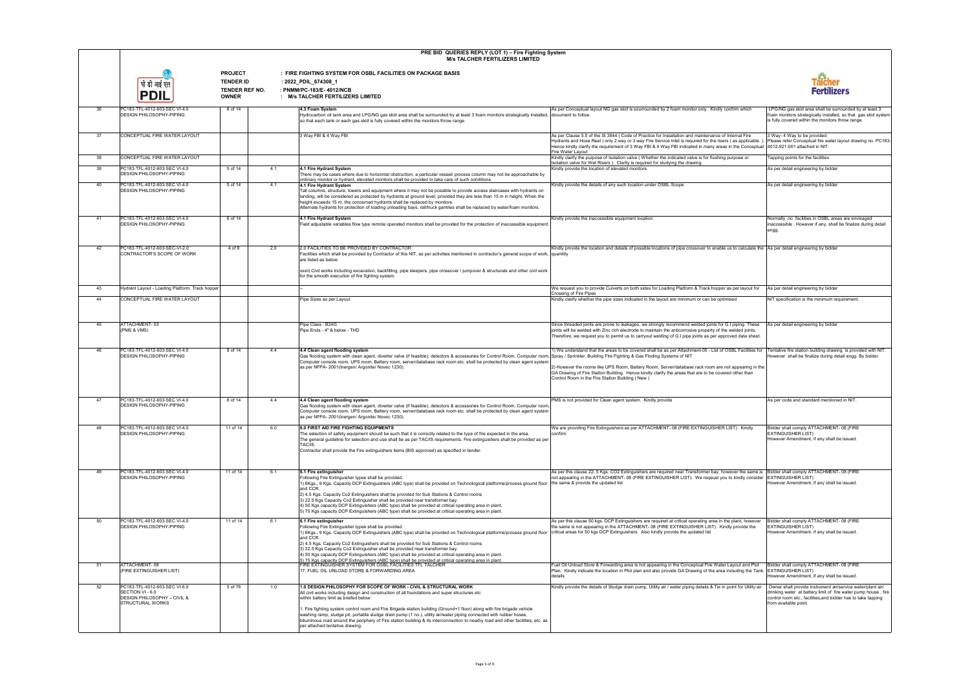|    |                                                                                                             |                                                                      | PRE BID QUERIES REPLY (LOT 1) - Fire Fighting System<br><b>M/s TALCHER FERTILIZERS LIMITED</b>                                                                                                                                                                                                                                                                                                                                                                                                                                                                                                                                                                                                            |                                                                                                                                                                                                                                                                                                                                                                                                                                                          |                                                                                                                                                                                                                         |
|----|-------------------------------------------------------------------------------------------------------------|----------------------------------------------------------------------|-----------------------------------------------------------------------------------------------------------------------------------------------------------------------------------------------------------------------------------------------------------------------------------------------------------------------------------------------------------------------------------------------------------------------------------------------------------------------------------------------------------------------------------------------------------------------------------------------------------------------------------------------------------------------------------------------------------|----------------------------------------------------------------------------------------------------------------------------------------------------------------------------------------------------------------------------------------------------------------------------------------------------------------------------------------------------------------------------------------------------------------------------------------------------------|-------------------------------------------------------------------------------------------------------------------------------------------------------------------------------------------------------------------------|
|    | पी डी आई एल<br><b>PDIL</b>                                                                                  | <b>PROJECT</b><br><b>TENDER ID</b><br>TENDER REF NO.<br><b>OWNER</b> | : FIRE FIGHTING SYSTEM FOR OSBL FACILITIES ON PACKAGE BASIS<br>: 2022_PDIL_674308_1<br>: PNMM/PC-183/E-4012/NCB<br>: M/s TALCHER FERTILIZERS LIMITED                                                                                                                                                                                                                                                                                                                                                                                                                                                                                                                                                      |                                                                                                                                                                                                                                                                                                                                                                                                                                                          | Fertilizers                                                                                                                                                                                                             |
| 36 | PC183-TFL-4012-603-SEC VI-4.0<br><b>DESIGN PHILOSOPHY-PIPING</b>                                            | 8 of 14                                                              | 4.3 Foam System<br>Hydrocarbon oil tank area and LPG/NG gas skid area shall be surrounded by at least 3 foam monitors strategically installed, document to follow<br>so that each tank or each gas skid is fully covered within the monitors throw range.                                                                                                                                                                                                                                                                                                                                                                                                                                                 | As per Conceptual layout NG gas skid is sourrounded by 2 foam monitor only. Kindly confirm which                                                                                                                                                                                                                                                                                                                                                         | LPG/NG gas skid area shall be surrounded by at least 3<br>foam monitors strategically installed, so that gas skid system<br>is fully covered within the monitors throw range.                                           |
| 37 | CONCEPTUAL FIRE WATER LAYOUT                                                                                |                                                                      | 3 Way FBI & 4 Way FBI                                                                                                                                                                                                                                                                                                                                                                                                                                                                                                                                                                                                                                                                                     | As per Clause 5.5 of the IS 3844 (Code of Practice for Installation and maintenance of Internal Fire<br>Hydrants and Hose Reel ) only 2 way or 3 way Fire Service Inlet is required for the risers (as applicable.)<br>Hence kindly clarify the requirement of 3 Way FBI & 4 Way FBI indicated in many areas in the Conceptual<br>Fire Water Layout                                                                                                      | 3 Way- 4 Way to be provided.<br>Please refer Conceptual fire water layout drawing no. PC183-<br>4012-921-001 attached in NIT.                                                                                           |
| 38 | CONCEPTUAL FIRE WATER LAYOUT                                                                                |                                                                      |                                                                                                                                                                                                                                                                                                                                                                                                                                                                                                                                                                                                                                                                                                           | Kindly clarify the purpose of Isolation valve (Whether the indicated valve is for flushing purpose or<br>Isolation valve for Wet Risers ). Clarity is required for studying the drawing                                                                                                                                                                                                                                                                  | Tapping points for the facilities                                                                                                                                                                                       |
| 39 | PC183-TFL-4012-603-SEC VI-4.0<br><b>DESIGN PHILOSOPHY-PIPING</b>                                            | 5 of 14<br>4.1                                                       | 4.1 Fire Hydrant System<br>There may be cases where due to horizontal obstruction, a particular vessel/ process column may not be approachable by<br>ordinary monitor or hydrant, elevated monitors shall be provided to take care of such conditions.                                                                                                                                                                                                                                                                                                                                                                                                                                                    | Kindly provide the location of elevated monitors                                                                                                                                                                                                                                                                                                                                                                                                         | As per detail engineering by bidder                                                                                                                                                                                     |
| 40 | PC183-TFL-4012-603-SEC VI-4.0<br>DESIGN PHILOSOPHY-PIPING                                                   | 4.1<br>5 of 14                                                       | 4.1 Fire Hydrant System<br>Tall columns, structure, towers and equipment where it may not be possible to provide access staircases with hydrants on<br>landing, will be considered as protected by hydrants at ground level, provided they are less than 15 m in height. When the<br>height exceeds 15 m, the concerned hydrants shall be replaced by monitors.<br>Alternate hydrants for protection of loading unloading bays, rail/truck gantries shall be replaced by water/foam monitors.                                                                                                                                                                                                             | Kindly provide the details of any such location under OSBL Scope                                                                                                                                                                                                                                                                                                                                                                                         | As per detail engineering by bidder                                                                                                                                                                                     |
| 41 | PC183-TFL-4012-603-SEC VI-4.0<br><b>DESIGN PHILOSOPHY-PIPING</b>                                            | 6 of 14                                                              | 4.1 Fire Hydrant System<br>Field adjustable variables flow type remote operated monitors shall be provided for the protection of inaccessible equipment.                                                                                                                                                                                                                                                                                                                                                                                                                                                                                                                                                  | Kindly provide the inaccessible equipment location                                                                                                                                                                                                                                                                                                                                                                                                       | Normally ,no facilities in OSBL areas are envisaged<br>inaccessible, However if any, shall be finalize during detail<br>engg.                                                                                           |
| 42 | PC183-TFL-4012-603-SEC-VI-2.0                                                                               | 2.0<br>4 of 8                                                        | 2.0 FACILITIES TO BE PROVIDED BY CONTRACTOR :                                                                                                                                                                                                                                                                                                                                                                                                                                                                                                                                                                                                                                                             | Kindly provide the location and details of possible locations of pipe crossover to enable us to calculate the As per detail engineering by bidder                                                                                                                                                                                                                                                                                                        |                                                                                                                                                                                                                         |
|    | CONTRACTOR'S SCOPE OF WORK                                                                                  |                                                                      | Facilities which shall be provided by Contractor of this NIT, as per activities mentioned in contractor's general scope of work, quanitity<br>are listed as below:<br>xxxii) Civil works including excavation, backfilling, pipe sleepers, pipe crossover / jumpover & structurals and other civil work<br>for the smooth execution of fire fighting system.                                                                                                                                                                                                                                                                                                                                              |                                                                                                                                                                                                                                                                                                                                                                                                                                                          |                                                                                                                                                                                                                         |
| 43 | Hydrant Layout - Loading Platform, Track hopper                                                             |                                                                      |                                                                                                                                                                                                                                                                                                                                                                                                                                                                                                                                                                                                                                                                                                           | We request you to provide Culverts on both sides for Loading Platform & Track hopper as per layout for                                                                                                                                                                                                                                                                                                                                                   | As per detail engineering by bidder                                                                                                                                                                                     |
| 44 | CONCEPTUAL FIRE WATER LAYOUT                                                                                |                                                                      | Pipe Sizes as per Layout                                                                                                                                                                                                                                                                                                                                                                                                                                                                                                                                                                                                                                                                                  | Crossing of Fire Pipes<br>Kindly clarify whether the pipe sizes indicated in the layout are minimum or can be optimised                                                                                                                                                                                                                                                                                                                                  | NIT specification is the minimum requirement.                                                                                                                                                                           |
|    |                                                                                                             |                                                                      |                                                                                                                                                                                                                                                                                                                                                                                                                                                                                                                                                                                                                                                                                                           |                                                                                                                                                                                                                                                                                                                                                                                                                                                          |                                                                                                                                                                                                                         |
| 45 | ATTACHMENT-03<br>(PMS & VMS)                                                                                |                                                                      | Pipe Class : B24G<br>Pipe Ends - 4" & below - THD                                                                                                                                                                                                                                                                                                                                                                                                                                                                                                                                                                                                                                                         | Since threaded joints are prone to leakages, we strongly recommend welded joints for G.I piping. These<br>joints will be welded with Zinc rich electrode to maintain the anticorrosive property of the welded joints.<br>Therefore, we request you to permit us to carryout welding of G.I pipe joints as per approved data sheet.                                                                                                                       | As per detail engineering by bidder                                                                                                                                                                                     |
| 46 | PC183-TFL-4012-603-SEC VI-4.0<br><b>DESIGN PHILOSOPHY-PIPING</b>                                            | 8 of 14<br>4.4                                                       | 4.4 Clean agent flooding system<br>Gas flooding system with clean agent, diverter valve (if feasible), detectors & accessories for Control Room, Computer room,<br>Computer console room, UPS room, Battery room, server/database rack room etc. shall be protected by clean agent system<br>as per NFPA- 2001(Inergen/ Argonite/ Novec 1230)                                                                                                                                                                                                                                                                                                                                                             | 1) We understand that the areas to be covered shall be as per Attachment-05 - List of OSBL Facilities for<br>Spray / Sprinkler, Building Fire Fighting & Gas Floding Systems of NIT.<br>2) However the rooms like UPS Room, Battery Room, Server/database rack room are not appearing in the<br>GA Drawing of Fire Station Building. Hence kindly clarify the areas that are to be covered other than<br>Control Room in the Fire Station Building (New) | Tentative fire station building drawing is provided with NIT.<br>However shall be finalize during detail engg. By bidder.                                                                                               |
| 47 | PC183-TFL-4012-603-SEC VI-4.0<br><b>DESIGN PHILOSOPHY-PIPING</b>                                            | 4.4<br>8 of 14                                                       | 4.4 Clean agent flooding system<br>Gas flooding system with clean agent, diverter valve (if feasible), detectors & accessories for Control Room, Computer room,<br>Computer console room, UPS room, Battery room, server/database rack room etc. shall be protected by clean agent system<br>as per NFPA- 2001(Inergen/ Argonite/ Novec 1230)                                                                                                                                                                                                                                                                                                                                                             | PMS is not provided for Clean agent system. Kindly provide                                                                                                                                                                                                                                                                                                                                                                                               | As per code and standard mentioned in NIT                                                                                                                                                                               |
| 48 | PC183-TFL-4012-603-SEC VI-4.0<br><b>DESIGN PHILOSOPHY-PIPING</b>                                            | 11 of 14<br>6.0                                                      | 6.0 FIRST AID FIRE FIGHTING EQUIPMENTS<br>The selection of safety equipment should be such that it is correctly related to the type of fire expected in the area.<br>The general guideline for selection and use shall be as per TAC/IS requirements. Fire extinguishers shall be provided as per<br>TAC/IS.<br>Contractor shall provide the Fire extinguishers items (BIS approved) as specified in tender.                                                                                                                                                                                                                                                                                              | We are providing Fire Extinguishers as per ATTACHMENT- 08 (FIRE EXTINGUISHER LIST). Kindly<br>confirm                                                                                                                                                                                                                                                                                                                                                    | Bidder shall comply ATTACHMENT- 08 (FIRE<br><b>EXTINGUISHER LIST)</b><br>However Amendment, if any shall be issued.                                                                                                     |
| 49 | PC183-TFL-4012-603-SEC VI-4.0<br><b>DESIGN PHILOSOPHY-PIPING</b>                                            | 6.1<br>11 of 14                                                      | 6.1 Fire extinguisher<br>Following Fire Extinguisher types shall be provided.<br>1) 6Kgs., 9 Kgs. Capacity DCP Extinguishers (ABC type) shall be provided on Technological platforms/process ground floor the same & provide the updated list<br>and CCR.<br>2) 4.5 Kgs. Capacity Co2 Extinguishers shall be provided for Sub Stations & Control rooms<br>3) 22.5 Kgs Capacity Co2 Extinguisher shall be provided near transformer bay.<br>4) 50 Kgs capacity DCP Extinguishers (ABC type) shall be provided at critical operating area in plant.<br>5) 75 Kgs capacity DCP Extinguishers (ABC type) shall be provided at critical operating area in plant.                                               | As per this clause 22. 5 Kgs. CO2 Extinguishers are required near Transformer bay, however the same is  Bidder shall comply ATTACHMENT-08 (FIRE<br>not appearing in the ATTACHMENT- 08 (FIRE EXTINGUISHER LIST). We reqeust you to kindly consider EXTINGUISHER LIST)                                                                                                                                                                                    | However Amendment, if any shall be issued.                                                                                                                                                                              |
| 50 | PC183-TFL-4012-603-SEC VI-4.0<br><b>DESIGN PHILOSOPHY-PIPING</b>                                            | 11 of 14<br>6.1                                                      | 6.1 Fire extinguisher<br>Following Fire Extinguisher types shall be provided.<br>1) 6Kgs., 9 Kgs. Capacity DCP Extinguishers (ABC type) shall be provided on Technological platforms/process ground floor critical areas for 50 kgs DCP Extinguishers. Also kindly provide the updated list<br>and CCR.<br>2) 4.5 Kgs. Capacity Co2 Extinguishers shall be provided for Sub Stations & Control rooms<br>3) 22.5 Kgs Capacity Co2 Extinguisher shall be provided near transformer bay.<br>4) 50 Kgs capacity DCP Extinguishers (ABC type) shall be provided at critical operating area in plant.<br>5) 75 Kgs capacity DCP Extinguishers (ABC type) shall be provided at critical operating area in plant. | As per this clause 50 kgs. DCP Extinguishers are required at critical operating area in the plant, however<br>the same is not appearing in the ATTACHMENT-08 (FIRE EXTINGUISHER LIST). Kindly provide the                                                                                                                                                                                                                                                | Bidder shall comply ATTACHMENT- 08 (FIRE<br><b>EXTINGUISHER LIST)</b><br>However Amendment, if any shall be issued.                                                                                                     |
| 51 | ATTACHMENT-08<br>(FIRE EXTINGUISHER LIST)                                                                   |                                                                      | FIRE EXTINGUISHER SYSTEM FOR OSBL FACILITIES TFL TALCHER<br>17. FUEL OIL UNLOAD STORE & FORWARDING AREA                                                                                                                                                                                                                                                                                                                                                                                                                                                                                                                                                                                                   | Fuel Oil Unload Store & Forwarding area is not appearing in the Conceptual Fire Water Layout and Plot<br>Plan. Kindly indicate the location in Plot plan and also provide GA Drawing of the area including the Tank<br>details                                                                                                                                                                                                                           | Bidder shall comply ATTACHMENT- 08 (FIRE<br><b>EXTINGUISHER LIST)</b><br>However Amendment, if any shall be issued.                                                                                                     |
| 52 | PC183-TFL-4012-603-SEC VI-6.0<br>SECTION VI - 6.0<br>DESIGN PHILOSOPHY - CIVIL &<br><b>STRUCTURAL WORKS</b> | 5 of 76<br>1.0                                                       | 1.0 DESIGN PHILOSOPHY FOR SCOPE OF WORK - CIVIL & STRUCTURAL WORK<br>All civil works including design and construction of all foundations and super structures etc<br>within battery limit as briefed below:<br>. Fire fighting system control room and Fire Brigade station building (Ground+1 floor) along with fire brigade vehicle<br>washing ramp, sludge pit, portable sludge drain pump (1 no.), utility air/water piping connected with rubber hoses,<br>bituminous road around the periphery of Fire station building & its interconnection to nearby road and other facilities, etc. as<br>per attached tentative drawing.                                                                      | Kindly provide the details of Sludge drain pump, Utility air / water piping details & Tie in point for Utility air                                                                                                                                                                                                                                                                                                                                       | Owner shall provide instrument air/service water/plant air/<br>drinking water at battery limit of fire water pump house, fire<br>control room etc., facilities, and bidder has to take tapping<br>from available point. |

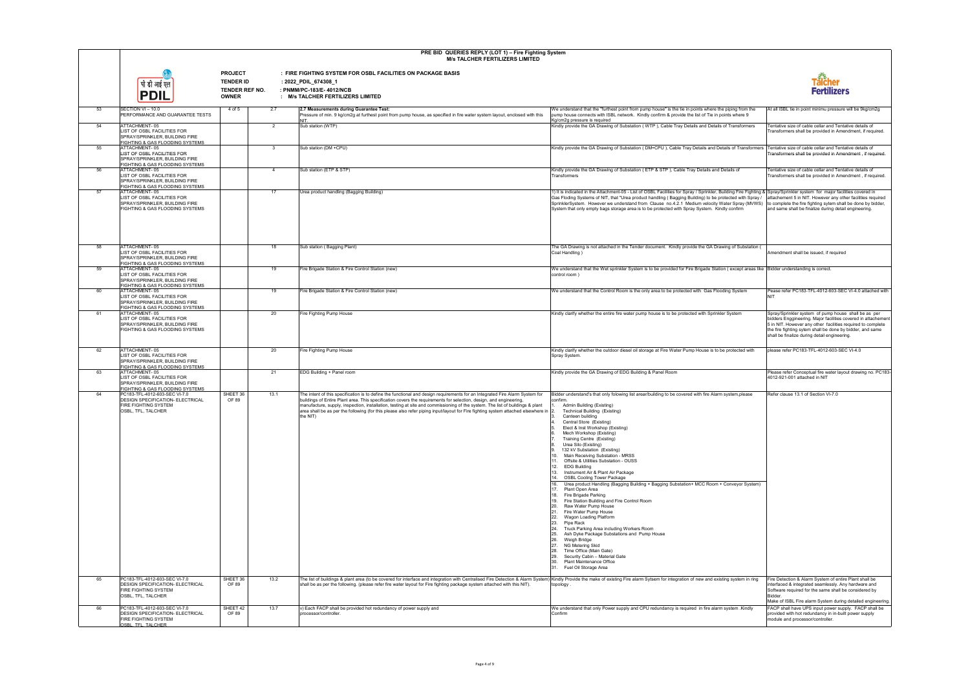|    | PRE BID QUERIES REPLY (LOT 1) - Fire Fighting System<br><b>M/s TALCHER FERTILIZERS LIMITED</b>                                                       |                                                                      |                |                                                                                                                                                                                                                                                                                                                                                                                                                                                                                                                                          |                                                                                                                                                                                                                                                                                                                                                                                                                                                                                                                                                                                                                                                                                                                                                                                                                                                                                                                                                                                                                                                                                                                                                                                                                                                                     |                                                                                                                                                                                                                                                                                                   |
|----|------------------------------------------------------------------------------------------------------------------------------------------------------|----------------------------------------------------------------------|----------------|------------------------------------------------------------------------------------------------------------------------------------------------------------------------------------------------------------------------------------------------------------------------------------------------------------------------------------------------------------------------------------------------------------------------------------------------------------------------------------------------------------------------------------------|---------------------------------------------------------------------------------------------------------------------------------------------------------------------------------------------------------------------------------------------------------------------------------------------------------------------------------------------------------------------------------------------------------------------------------------------------------------------------------------------------------------------------------------------------------------------------------------------------------------------------------------------------------------------------------------------------------------------------------------------------------------------------------------------------------------------------------------------------------------------------------------------------------------------------------------------------------------------------------------------------------------------------------------------------------------------------------------------------------------------------------------------------------------------------------------------------------------------------------------------------------------------|---------------------------------------------------------------------------------------------------------------------------------------------------------------------------------------------------------------------------------------------------------------------------------------------------|
|    | पी डी आई एत<br><b>PDIL</b>                                                                                                                           | <b>PROJECT</b><br><b>TENDER ID</b><br>TENDER REF NO.<br><b>OWNER</b> |                | : FIRE FIGHTING SYSTEM FOR OSBL FACILITIES ON PACKAGE BASIS<br>: 2022_PDIL_674308_1<br>: PNMM/PC-183/E-4012/NCB<br>: M/s TALCHER FERTILIZERS LIMITED                                                                                                                                                                                                                                                                                                                                                                                     |                                                                                                                                                                                                                                                                                                                                                                                                                                                                                                                                                                                                                                                                                                                                                                                                                                                                                                                                                                                                                                                                                                                                                                                                                                                                     | <b>Tälcher<br/>Fertilizers</b>                                                                                                                                                                                                                                                                    |
| 53 | SECTION VI - 10.0<br>PERFORMANCE AND GUARANTEE TESTS                                                                                                 | 4 of 5                                                               | 2.7            | 2.7 Measurements during Guarantee Test:<br>Pressure of min. 9 kg/cm2g at furthest point from pump house, as specified in fire water system layout, enclosed with this                                                                                                                                                                                                                                                                                                                                                                    | We understand that the "furthest point from pump house" is the tie in points where the piping from the<br>pump house connects with ISBL network. Kindly confirm & provide the list of Tie in points where 9<br>Kg/cm2g pressure is required                                                                                                                                                                                                                                                                                                                                                                                                                                                                                                                                                                                                                                                                                                                                                                                                                                                                                                                                                                                                                         | At all ISBL tie in point minimu pressure will be 9kg/cm2g                                                                                                                                                                                                                                         |
| 54 | ATTACHMENT-05<br>LIST OF OSBL FACILITIES FOR<br>SPRAY/SPRINKLER, BUILDING FIRE<br>FIGHTING & GAS FLOODING SYSTEMS                                    |                                                                      | $\overline{2}$ | Sub station (WTP)                                                                                                                                                                                                                                                                                                                                                                                                                                                                                                                        | Kindly provide the GA Drawing of Substation (WTP), Cable Tray Details and Details of Transformers                                                                                                                                                                                                                                                                                                                                                                                                                                                                                                                                                                                                                                                                                                                                                                                                                                                                                                                                                                                                                                                                                                                                                                   | Tentative size of cable cellar and Tentative details of<br>Transformers shall be provided in Amendment, if required                                                                                                                                                                               |
| 55 | ATTACHMENT-05<br>LIST OF OSBL FACILITIES FOR<br>SPRAY/SPRINKLER, BUILDING FIRE<br>FIGHTING & GAS FLOODING SYSTEMS                                    |                                                                      | $\mathbf{3}$   | Sub station (DM +CPU)                                                                                                                                                                                                                                                                                                                                                                                                                                                                                                                    | Kindly provide the GA Drawing of Substation (DM+CPU), Cable Tray Details and Details of Transformers                                                                                                                                                                                                                                                                                                                                                                                                                                                                                                                                                                                                                                                                                                                                                                                                                                                                                                                                                                                                                                                                                                                                                                | Tentative size of cable cellar and Tentative details of<br>Transformers shall be provided in Amendment, if required.                                                                                                                                                                              |
| 56 | ATTACHMENT-05<br>LIST OF OSBL FACILITIES FOR<br>SPRAY/SPRINKLER, BUILDING FIRE<br>FIGHTING & GAS FLOODING SYSTEMS                                    |                                                                      | $\overline{4}$ | Sub station (ETP & STP)                                                                                                                                                                                                                                                                                                                                                                                                                                                                                                                  | Kindly provide the GA Drawing of Substation (ETP & STP), Cable Tray Details and Details of<br>Transformers                                                                                                                                                                                                                                                                                                                                                                                                                                                                                                                                                                                                                                                                                                                                                                                                                                                                                                                                                                                                                                                                                                                                                          | Tentative size of cable cellar and Tentative details of<br>Transformers shall be provided in Amendment, if required.                                                                                                                                                                              |
| 57 | ATTACHMENT-05<br>LIST OF OSBL FACILITIES FOR<br>SPRAY/SPRINKLER, BUILDING FIRE<br>FIGHTING & GAS FLOODING SYSTEMS                                    |                                                                      | 17             | Urea product handling (Bagging Building)                                                                                                                                                                                                                                                                                                                                                                                                                                                                                                 | 1) It is indicated in the Attachment-05 - List of OSBL Facilities for Spray / Sprinkler, Building Fire Fighting & Spray/Sprinkler system for major facilities covered in<br>Gas Floding Systems of NIT, that "Urea product handling ( Bagging Building) to be protected with Spray /<br>SprinklerSystem. However we understand from Clause no.4.2.1 Medium velocity Water Spray (MVWS)<br>System that only empty bags storage area is to be protected with Spray System. Kindly confirm                                                                                                                                                                                                                                                                                                                                                                                                                                                                                                                                                                                                                                                                                                                                                                             | attachement 5 in NIT. However any other facilities required<br>to complete the fire fighting sytem shall be done by bidder,<br>and same shall be finalize during detail engineering.                                                                                                              |
| 58 | ATTACHMENT-05<br>LIST OF OSBL FACILITIES FOR<br>SPRAY/SPRINKLER, BUILDING FIRE                                                                       |                                                                      | 18             | Sub station (Bagging Plant)                                                                                                                                                                                                                                                                                                                                                                                                                                                                                                              | The GA Drawing is not attached in the Tender document. Kindly provide the GA Drawing of Substation (<br>Coal Handling                                                                                                                                                                                                                                                                                                                                                                                                                                                                                                                                                                                                                                                                                                                                                                                                                                                                                                                                                                                                                                                                                                                                               | Amendment shall be issued, if required                                                                                                                                                                                                                                                            |
| 59 | FIGHTING & GAS FLOODING SYSTEMS<br>ATTACHMENT-05<br>LIST OF OSBL FACILITIES FOR<br>SPRAY/SPRINKLER, BUILDING FIRE                                    |                                                                      | 19             | Fire Brigade Station & Fire Control Station (new)                                                                                                                                                                                                                                                                                                                                                                                                                                                                                        | We understand that the Wet sprinkler System is to be provided for Fire Brigade Station (except areas like Bidder understanding is correct.<br>control room                                                                                                                                                                                                                                                                                                                                                                                                                                                                                                                                                                                                                                                                                                                                                                                                                                                                                                                                                                                                                                                                                                          |                                                                                                                                                                                                                                                                                                   |
| 60 | FIGHTING & GAS FLOODING SYSTEMS<br>ATTACHMENT-05<br>LIST OF OSBL FACILITIES FOR<br>SPRAY/SPRINKLER, BUILDING FIRE                                    |                                                                      | 19             | Fire Brigade Station & Fire Control Station (new)                                                                                                                                                                                                                                                                                                                                                                                                                                                                                        | We understand that the Control Room is the only area to be protected with Gas Flooding System                                                                                                                                                                                                                                                                                                                                                                                                                                                                                                                                                                                                                                                                                                                                                                                                                                                                                                                                                                                                                                                                                                                                                                       | Pease refer PC183-TFL-4012-603-SEC VI-4.0 attached with<br><b>NIT</b>                                                                                                                                                                                                                             |
| 61 | FIGHTING & GAS FLOODING SYSTEMS<br>ATTACHMENT-05<br>LIST OF OSBL FACILITIES FOR<br>SPRAY/SPRINKLER, BUILDING FIRE<br>FIGHTING & GAS FLOODING SYSTEMS |                                                                      | 20             | Fire Fighting Pump House                                                                                                                                                                                                                                                                                                                                                                                                                                                                                                                 | Kindly clarify whether the entire fire water pump house is to be protected with Sprinkler System                                                                                                                                                                                                                                                                                                                                                                                                                                                                                                                                                                                                                                                                                                                                                                                                                                                                                                                                                                                                                                                                                                                                                                    | Spray/Sprinkler system of pump house shall be as per<br>bidders Enggineering. Major facilities covered in attachement<br>5 in NIT. However any other facilities required to complete<br>the fire fighting sytem shall be done by bidder, and same<br>shall be finalize during detail engineering. |
| 62 | ATTACHMENT-05<br>LIST OF OSBL FACILITIES FOR<br>SPRAY/SPRINKLER, BUILDING FIRE<br>FIGHTING & GAS FLOODING SYSTEMS                                    |                                                                      | 20             | Fire Fighting Pump House                                                                                                                                                                                                                                                                                                                                                                                                                                                                                                                 | Kindly clarify whether the outdoor diesel oil storage at Fire Water Pump House is to be protected with<br>Spray System.                                                                                                                                                                                                                                                                                                                                                                                                                                                                                                                                                                                                                                                                                                                                                                                                                                                                                                                                                                                                                                                                                                                                             | please refer PC183-TFL-4012-603-SEC VI-4.0                                                                                                                                                                                                                                                        |
| 63 | ATTACHMENT-05<br>LIST OF OSBL FACILITIES FOR<br>SPRAY/SPRINKLER, BUILDING FIRE<br>FIGHTING & GAS FLOODING SYSTEMS                                    |                                                                      | 21             | EDG Building + Panel room                                                                                                                                                                                                                                                                                                                                                                                                                                                                                                                | Kindly provide the GA Drawing of EDG Building & Panel Room                                                                                                                                                                                                                                                                                                                                                                                                                                                                                                                                                                                                                                                                                                                                                                                                                                                                                                                                                                                                                                                                                                                                                                                                          | Please refer Conceptual fire water layout drawing no. PC183-<br>4012-921-001 attached in NIT                                                                                                                                                                                                      |
| 64 | PC183-TFL-4012-603-SEC VI-7.0<br><b>DESIGN SPECIFICATION- ELECTRICAL</b><br><b>FIRE FIGHTING SYSTEM</b><br>OSBL, TFL, TALCHER                        | SHEET 36<br>OF 89                                                    | 13.1           | The intent of this specification is to define the functional and design requirements for an Integrated Fire Alarm System for<br>buildings of Entire Plant area. This specification covers the requirements for selection, design, and engineering,<br>manufacture, supply, inspection, installation, testing at site and commissioning of the system. The list of buildings & plant<br>area shall be as per the following (for this please also refer piping input/layout for Fire fighting system attached elsewhere in  2.<br>the NIT) | Bidder understand's that only folowing list arear/building to be covered with fire Alarm system, please<br>confirm.<br>Admin Building (Existing)<br>Technical Building (Existing)<br>Canteen building<br>Central Store (Existing)<br>Elect & Inst Workshop (Existing)<br>Mech Workshop (Existing)<br>Training Centre (Existing)<br>Urea Silo (Existing)<br>132 kV Substation (Existing)<br>Main Receiving Substation - MRSS<br>10 <sup>1</sup><br>Offsite & Utilities Substation - OUSS<br>11.<br>12.<br><b>EDG Building</b><br>Instrument Air & Plant Air Package<br>13.<br><b>OSBL Cooling Tower Package</b><br>14.<br>16.<br>Urea product Handling (Bagging Building + Bagging Substation+ MCC Room + Conveyor System)<br>Plant Open Area<br>17.<br>18.<br>Fire Brigade Parking<br>Fire Station Building and Fire Control Room<br>19.<br>Raw Water Pump House<br>20.<br>Fire Water Pump House<br>21.<br>22.<br>Wagon Loading Platform<br>23.<br>Pipe Rack<br>24.<br>Truck Parking Area including Workers Room<br>25.<br>Ash Dyke Package Substations and Pump House<br>26.<br>Weigh Bridge<br>27.<br>NG Metering Skid<br>Time Office (Main Gate)<br>28.<br>Security Cabin - Material Gate<br>29.<br>30.<br>Plant Maintenance Office<br>31. Fuel Oil Storage Area | Refer clause 13.1 of Section VI-7.0                                                                                                                                                                                                                                                               |
| 65 | PC183-TFL-4012-603-SEC VI-7.0<br><b>DESIGN SPECIFICATION- ELECTRICAL</b><br><b>FIRE FIGHTING SYSTEM</b><br>OSBL, TFL, TALCHER                        | SHEET 36<br>OF 89                                                    | 13.2           | The list of buildings & plant area (to be covered for interface and integration with Centralised Fire Detection & Alarm System) Kindly Provide the make of existing Fire alarm Sytsem for integration of new and existing syst<br>shall be as per the following. (please refer fire water layout for Fire fighting package system attached with this NIT).                                                                                                                                                                               | topology.                                                                                                                                                                                                                                                                                                                                                                                                                                                                                                                                                                                                                                                                                                                                                                                                                                                                                                                                                                                                                                                                                                                                                                                                                                                           | Fire Detection & Alarm System of entire Plant shall be<br>interfaced & integrated seamlessly. Any hardware and<br>Software required for the same shall be considered by<br>Bidder.                                                                                                                |
| 66 | PC183-TFL-4012-603-SEC VI-7.0<br><b>DESIGN SPECIFICATION- ELECTRICAL</b><br><b>FIRE FIGHTING SYSTEM</b><br>OSBL. TFL. TALCHER                        | SHEET 42<br>OF 89                                                    | 13.7           | v) Each FACP shall be provided hot redundancy of power supply and<br>processor/controller                                                                                                                                                                                                                                                                                                                                                                                                                                                | We understand that only Power supply and CPU redundancy is required in fire alarm system .Kindly<br>Confirm                                                                                                                                                                                                                                                                                                                                                                                                                                                                                                                                                                                                                                                                                                                                                                                                                                                                                                                                                                                                                                                                                                                                                         | Make of ISBL Fire alarm System during detailed engineering.<br>FACP shall have UPS input power supply. FACP shall be<br>provided with hot redundancy in in-built power supply<br>module and processor/controller.                                                                                 |

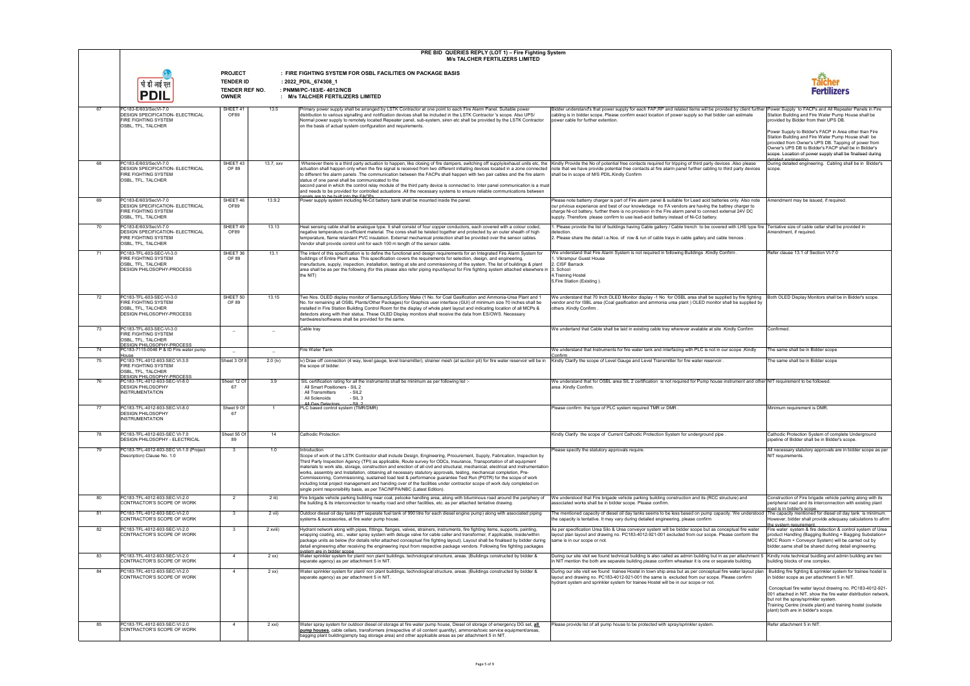|    |                                                                                                                         |                                                                      |            | PRE BID QUERIES REPLY (LOT 1) - Fire Fighting System<br><b>M/s TALCHER FERTILIZERS LIMITED</b>                                                                                                                                                                                                                                                                                                                                                                                                                                                                                                                                                                                                                                                                                                                                                        |                                                                                                                                                                                                                                                                                                                                                                                                                    |                                                                                                                                                                                                                                                                                                                                                                                          |
|----|-------------------------------------------------------------------------------------------------------------------------|----------------------------------------------------------------------|------------|-------------------------------------------------------------------------------------------------------------------------------------------------------------------------------------------------------------------------------------------------------------------------------------------------------------------------------------------------------------------------------------------------------------------------------------------------------------------------------------------------------------------------------------------------------------------------------------------------------------------------------------------------------------------------------------------------------------------------------------------------------------------------------------------------------------------------------------------------------|--------------------------------------------------------------------------------------------------------------------------------------------------------------------------------------------------------------------------------------------------------------------------------------------------------------------------------------------------------------------------------------------------------------------|------------------------------------------------------------------------------------------------------------------------------------------------------------------------------------------------------------------------------------------------------------------------------------------------------------------------------------------------------------------------------------------|
|    | <b>PDIL</b>                                                                                                             | <b>PROJECT</b><br><b>TENDER ID</b><br>TENDER REF NO.<br><b>OWNER</b> |            | : FIRE FIGHTING SYSTEM FOR OSBL FACILITIES ON PACKAGE BASIS<br>: 2022_PDIL_674308_1<br>: PNMM/PC-183/E-4012/NCB<br>: M/s TALCHER FERTILIZERS LIMITED                                                                                                                                                                                                                                                                                                                                                                                                                                                                                                                                                                                                                                                                                                  |                                                                                                                                                                                                                                                                                                                                                                                                                    | ai <mark>cher</mark><br>Fertilizers                                                                                                                                                                                                                                                                                                                                                      |
| 67 | PC183-E/603/SecVI-7.0<br><b>DESIGN SPECIFICATION- ELECTRICAL</b><br>FIRE FIGHTING SYSTEM<br>OSBL, TFL, TALCHER          | SHEET 41<br>OF89                                                     | 13.5       | Primary power supply shall be arranged by LSTK Contractor at one point to each Fire Alarm Panel. Suitable power<br>distribution to various signalling and notification devices shall be included in the LSTK Contractor 's scope. Also UPS/<br>Normal power supply to remotely located Repeater panel, sub-system, siren etc shall be provided by the LSTK Contractor<br>on the basis of actual system configuration and requirements.                                                                                                                                                                                                                                                                                                                                                                                                                | Bidder understand's that power supply for each FAP,RP and related items will be provided by client further Power Supply to FACPs and All Repeater Panels in Fire<br>cabling is in bidder scope. Please confirm exact location of power supply so that bidder can estimate<br>power cable for further extention.                                                                                                    | Station Building and Fire Water Pump House shall be<br>provided by Bidder from their UPS DB.                                                                                                                                                                                                                                                                                             |
| 68 | PC183-E/603/SecVI-7.0                                                                                                   | SHEET 43                                                             | 13.7, xxv  | Whenever there is a third party actuation to happen, like closing of fire dampers, switching off supply/exhaust units etc, the Kindly Provide the No of potential free contacts required for tripping of third party devices .                                                                                                                                                                                                                                                                                                                                                                                                                                                                                                                                                                                                                        |                                                                                                                                                                                                                                                                                                                                                                                                                    | Power Supply to Bidder's FACP in Area other than Fire<br>Station Building and Fire Water Pump House shall be<br>provided from Owner's UPS DB. Tapping of power from<br>Owner's UPS DB to Bidder's FACP shall be in Bidder's<br>scope. Location of power supply shall be finalised during<br>ngineeninga helistek<br>During detailed engineering. Cabling shall be in Bidder's            |
|    | <b>DESIGN SPECIFICATION- ELECTRICAL</b><br>FIRE FIGHTING SYSTEM<br>OSBL, TFL, TALCHER                                   | OF 89                                                                |            | actuation shall happen only when the fire signal is received from two different initiating devices located in a zone connected<br>to different fire alarm panels .The communication between the FACPs shall happen with two pair cables and the fire alarm<br>status of one panel shall be communicated to the<br>second panel in which the control relay module of the third party device is connected to. Inter panel communication is a must<br>and needs to be provided for controlled actuations .All the necessary systems to ensure reliable communications between<br>nanels are to be built into the FACPs                                                                                                                                                                                                                                   | note that we have provide potential free contacts at fire alarm panel further cabling to third party devices<br>shall be in scope of M/S PDIL. Kindly Confirm                                                                                                                                                                                                                                                      | scope.                                                                                                                                                                                                                                                                                                                                                                                   |
| 69 | PC183-E/603/SecVI-7.0<br><b>DESIGN SPECIFICATION- ELECTRICAL</b><br>FIRE FIGHTING SYSTEM<br>OSBL, TFL, TALCHER          | SHEET 46<br>OF89                                                     | 13.9.2     | Power supply system including Ni-Cd battery bank shall be mounted inside the panel.                                                                                                                                                                                                                                                                                                                                                                                                                                                                                                                                                                                                                                                                                                                                                                   | Please note batterry charger is part of Fire alarm panel & suitable for Lead acid batteries only. Also note<br>our privious experiance and best of our knowledage no FA vendors are having the battrey charger to<br>charge Ni-cd battery, further there is no provision in the Fire alarm panel to connect external 24V DC<br>supply. Therefore please confirm to use lead-acid battery instead of Ni-Cd battery. | Amendment may be issued, if required.                                                                                                                                                                                                                                                                                                                                                    |
| 70 | PC183-E/603/SecVI-7.0<br>DESIGN SPECIFICATION- ELECTRICAL<br>FIRE FIGHTING SYSTEM<br>OSBL, TFL, TALCHER                 | SHEET 49<br>OF89                                                     | 13.13      | Heat sensing cable shall be analogue type. It shall consist of four copper conductors, each covered with a colour coded,<br>negative temperature co-efficient material. The cores shall be twisted together and protected by an outer sheath of high<br>temperature, flame retardant PVC insulation. External mechanical protection shall be provided over the sensor cables.<br>Vendor shall provide control unit for each 100 m length of the sensor cable.                                                                                                                                                                                                                                                                                                                                                                                         | 1. Please provide the list of buildings having Cable gallery / Cable trench to be covered with LHS type fire Tentative size of cable cellar shall be provided in<br>detection.<br>2. Please share the detail i.e. Nos. of row & run of cable trays in cable gallery and cable trences.                                                                                                                             | Amendment, if required.                                                                                                                                                                                                                                                                                                                                                                  |
| 71 | PC183-TFL-603-SEC-VI-3.0<br>FIRE FIGHTING SYSTEM<br>OSBL, TFL, TALCHER<br>DESIGN PHILOSOPHY-PROCESS                     | SHEET 36<br>OF 89                                                    | 13.1       | The intent of this specification is to define the functional and design requirements for an Integrated Fire Alarm System for<br>buildings of Entire Plant area. This specification covers the requirements for selection, design, and engineering,<br>manufacture, supply, inspection, installation, testing at site and commissioning of the system. The list of buildings & plant<br>area shall be as per the following (for this please also refer piping input/layout for Fire fighting system attached elsewhere in  3. School<br>the NIT)                                                                                                                                                                                                                                                                                                       | We understand that Fire Alarm System is not required in following Buildings .Kindly Confirm<br>. Vikrampur Guest House<br>2. CISF Barrack<br>4. Training Hostel<br>5. Fire Station (Existing)                                                                                                                                                                                                                      | Refer clause 13.1 of Section VI-7.0                                                                                                                                                                                                                                                                                                                                                      |
| 72 | PC183-TFL-603-SEC-VI-3.0<br>FIRE FIGHTING SYSTEM<br>OSBL, TFL, TALCHER<br>DESIGN PHILOSOPHY-PROCESS                     | SHEET 50<br>OF 89                                                    | 13.15      | Two Nos. OLED display monitor of Samsung/LG/Sony Make (1 No. for Coal Gasification and Ammonia-Urea Plant and 1<br>No. for remaining all OSBL Plants/Other Packages) for Graphics user interface (GUI) of minimum size 70 inches shall be<br>installed in Fire Station Building Control Room for the display of whole plant layout and indicating location of all MCPs &<br>detectors along with their status. These OLED Display monitors shall receive the data from ES/OWS. Necessary<br>hardwares/softwares shall be provided for the same.                                                                                                                                                                                                                                                                                                       | We understand that 70 Inch OLED Monitor display -1 No for OSBL area shall be supplied by fire fighting<br>vendor and for ISBL area (Coal gasification and ammonia urea plant ) OLED monitor shall be supplied by<br>others .Kindly Confirm .                                                                                                                                                                       | Both OLED Display Monitors shall be in Bidder's scope                                                                                                                                                                                                                                                                                                                                    |
| 73 | PC183-TFL-603-SEC-VI-3.0<br>FIRE FIGHTING SYSTEM<br>OSBL, TFL, TALCHER<br><b>DESIGN PHILOSOPHY-PROCESS</b>              | $\qquad \qquad =$                                                    |            | Cable tray                                                                                                                                                                                                                                                                                                                                                                                                                                                                                                                                                                                                                                                                                                                                                                                                                                            | We undertand that Cable shall be laid in existing cable tray wherever avalable at site .Kindly Confirm                                                                                                                                                                                                                                                                                                             | Confirmed                                                                                                                                                                                                                                                                                                                                                                                |
| 74 | PC183-7115-0046 P & ID Fire water pump                                                                                  |                                                                      | $\equiv$   | <b>Fire Water Tank</b>                                                                                                                                                                                                                                                                                                                                                                                                                                                                                                                                                                                                                                                                                                                                                                                                                                | We understand that Instruments for fire water tank and interfacing with PLC is not in our scope , Kindly                                                                                                                                                                                                                                                                                                           | The same shall be in Bidder scope                                                                                                                                                                                                                                                                                                                                                        |
| 75 | House<br>PC183-TFL-4012-603-SEC VI-3.0<br>FIRE FIGHTING SYSTEM<br>OSBL. TFL. TALCHER                                    | Sheet 3 Of 8                                                         | $2.0$ (iv) | iv) Draw off connection (4 way, level gauge, level transmitter), strainer mesh (at suction pit) for fire water reservoir will be in<br>the scope of bidder.                                                                                                                                                                                                                                                                                                                                                                                                                                                                                                                                                                                                                                                                                           | Confirm<br>Kindly Clarify the scope of Level Gauge and Level Transmitter for fire water reservoir                                                                                                                                                                                                                                                                                                                  | The same shall be in Bidder scope                                                                                                                                                                                                                                                                                                                                                        |
| 76 | <b>DESIGN PHILOSOPHY-PROCESS</b><br>PC183-TFL-4012-603-SEC-VI-8.0<br><b>DESIGN PHILOSOPHY</b><br><b>INSTRUMENTATION</b> | Sheet 12 Of<br>67                                                    | 3.9        | SIL certification rating for all the instruments shall be minimum as per following list :-<br>All Smart Positioners - SIL 2<br>- SIL2<br>All Transmitters<br>$-SIL3$<br>All Solenoids<br>All Gas Detectors - SIL 2                                                                                                                                                                                                                                                                                                                                                                                                                                                                                                                                                                                                                                    | We understand that for OSBL area SIL 2 certification is not required for Pump house instrument and other NIT requirement to be followed.<br>area .Kindly Confirm.                                                                                                                                                                                                                                                  |                                                                                                                                                                                                                                                                                                                                                                                          |
| 77 | PC183-TFL-4012-603-SEC-VI-8.0<br>DESIGN PHILOSOPHY<br><b>INSTRUMENTATION</b>                                            | Sheet 9 Of<br>-67                                                    |            | PLC based control system (TMR/DMR)                                                                                                                                                                                                                                                                                                                                                                                                                                                                                                                                                                                                                                                                                                                                                                                                                    | Please confirm the type of PLC system required TMR or DMR                                                                                                                                                                                                                                                                                                                                                          | Minimum requirement is DMR.                                                                                                                                                                                                                                                                                                                                                              |
| 78 | PC183-TFL-4012-603-SEC VI-7.0<br>DESIGN PHILOSOPHY - ELECTRICAL                                                         | Sheet 55 Of<br>89                                                    | 14         | Cathodic Protection                                                                                                                                                                                                                                                                                                                                                                                                                                                                                                                                                                                                                                                                                                                                                                                                                                   | Kindly Clarify the scope of Current Cathodic Protection System for underground pipe                                                                                                                                                                                                                                                                                                                                | Cathodic Protection System of complete Underground<br>pipeline of Bidder shall be in Bidder's scope.                                                                                                                                                                                                                                                                                     |
| 79 | PC183-TFL-4012-603-SEC VI-1.0 (Project<br>Description) Clause No. 1.0                                                   | 3                                                                    | 1.0        | Introduction<br>Scope of work of the LSTK Contractor shall include Design, Engineering, Procurement, Supply, Fabrication, Inspection by<br>Third Party Inspection Agency (TPI) as applicable, Route survey for ODCs, Insurance, Transportation of all equipment<br>materials to work site, storage, construction and erection of all civil and structural, mechanical, electrical and instrumentation<br>works, assembly and Installation, obtaining all necessary statutory approvals, testing, mechanical completion, Pre-<br>Commissioning, Commissioning, sustained load test & performance guarantee Test Run (PGTR) for the scope of work<br>including total project management and handing over of the facilities under contractor scope of work duly completed on<br>single point responsibility basis, as per TAC/NFPA/NBC (Latest Edition). | Please specify the statutory approvals require.                                                                                                                                                                                                                                                                                                                                                                    | All necessary statutory approvals are in bidder scope as per<br>NIT requirements.                                                                                                                                                                                                                                                                                                        |
| 80 | PC183-TFL-4012-603-SEC-VI-2.0<br>CONTRACTOR'S SCOPE OF WORK                                                             | $\overline{2}$                                                       | $2$ iii)   | Fire brigade vehicle parking building near coal, petcoke handling area, along with bituminous road around the periphery of<br>the building & its interconnection to nearby road and other facilities, etc. as per attached tentative drawing.                                                                                                                                                                                                                                                                                                                                                                                                                                                                                                                                                                                                         | We understood that Fire brigade vehicle parking building construction and its (RCC structure) and<br>associated works shall be in bidder scope. Please confirm.                                                                                                                                                                                                                                                    | Construction of Fire brigade vehicle parking along with its<br>peripheral road and its interconnection with existing plant<br>road is in bidder's scope.                                                                                                                                                                                                                                 |
| 81 | PC183-TFL-4012-603-SEC-VI-2.0<br>CONTRACTOR'S SCOPE OF WORK<br>PC183-TFL-4012-603-SEC-VI-2.0                            | 3<br>3                                                               | 2 vii)     | Outdoor diesel oil day tanks (01 separate fuel tank of 990 litre for each diesel engine pump) along with associated piping<br>systems & accessories, at fire water pump house.                                                                                                                                                                                                                                                                                                                                                                                                                                                                                                                                                                                                                                                                        | The mentioned capacity of diesel oil day tanks seems to be less based on pump capacity. We understood <code> The</code> capacity mentioned for diesel oil day tank $\,$ is minimum.<br>the capacity is tentative. It may vary during detailed engineering, please confirm                                                                                                                                          | However, bidder shall provide adequasy calculations to afirm<br>the system requirement.                                                                                                                                                                                                                                                                                                  |
| 82 | CONTRACTOR'S SCOPE OF WORK                                                                                              |                                                                      | 2 xviii)   | Hydrant network along with pipes, fittings, flanges, valves, strainers, instruments, fire fighting items, supports, painting,<br>wrapping coating, etc., water spray system with deluge valve for cable caller and transformer, if applicable, inside/within<br>package units as below (for details refer attached conceptual fire fighting layout). Layout shall be finalised by bidder during<br>detail engineering after receiving the engineering input from respective package vendors. Following fire fighting packages<br>system are in bidder scope                                                                                                                                                                                                                                                                                           | As per specification Urea Silo & Urea conveyor system will be bidder scope but as conceptual fire water<br>layout plan layout and drawing no. PC183-4012-921-001 excluded from our scope. Please conform the<br>same is in our scope or not.                                                                                                                                                                       | Fire water system & fire detection & control system of Urea<br>product Handling (Bagging Building + Bagging Substation+<br>MCC Room + Conveyor System) will be carried out by<br>bidder, same shall be shared during detail engineering.                                                                                                                                                 |
| 83 | PC183-TFL-4012-603-SEC-VI-2.0<br>CONTRACTOR'S SCOPE OF WORK                                                             | $\overline{4}$                                                       | $2$ xx)    | Water sprinkler system for plant/ non plant buildings, technological structure, areas. (Buildings constructed by bidder &<br>separate agency) as per attachment 5 in NIT.                                                                                                                                                                                                                                                                                                                                                                                                                                                                                                                                                                                                                                                                             | During our site visit we found technical building is also called as admin building but in as per attachment 5 Kindly note technical buidling and admin building are two<br>in NIT mention the both are separate building please confirm wheatear it is one or separate building.                                                                                                                                   | building blocks of one complex.                                                                                                                                                                                                                                                                                                                                                          |
| 84 | PC183-TFL-4012-603-SEC-VI-2.0<br>CONTRACTOR'S SCOPE OF WORK                                                             | $\overline{4}$                                                       | $2$ xx)    | Water sprinkler system for plant/ non plant buildings, technological structure, areas. (Buildings constructed by bidder &<br>separate agency) as per attachment 5 in NIT.                                                                                                                                                                                                                                                                                                                                                                                                                                                                                                                                                                                                                                                                             | During our site visit we found trainee Hostel in town ship area but as per conceptual fire water layout plan<br>layout and drawing no. PC183-4012-921-001 the same is excluded from our scope. Please confirm<br>hydrant system and sprinkler system for trainee Hostel will be in our scope or not.                                                                                                               | Building fire fighting & sprinkler system for trainee hostel is<br>in bidder scope as per attachment 5 in NIT.<br>Conceptual fire water layout drawing no. PC183-4012-921-<br>001 attached in NIT, show the fire water distribution network,<br>but not the spray/sprinkler system.<br>Training Centre (inside plant) and training hostel (outside<br>plant) both are in bidder's scope. |
| 85 | PC183-TFL-4012-603-SEC-VI-2.0<br>CONTRACTOR'S SCOPE OF WORK                                                             | $\overline{4}$                                                       | 2 xxi)     | Water spray system for outdoor diesel oil storage at fire water pump house, Diesel oil storage of emergency DG set, all<br>pump houses, cable cellars, transformers (irrespective of oil content quantity), ammonia/toxic service equipment/areas,<br>bagging plant building(empty bag storage area) and other applicable areas as per attachment 5 in NIT.                                                                                                                                                                                                                                                                                                                                                                                                                                                                                           | Please provide list of all pump house to be protected with spray/sprinkler system.                                                                                                                                                                                                                                                                                                                                 | Refer attachment 5 in NIT.                                                                                                                                                                                                                                                                                                                                                               |

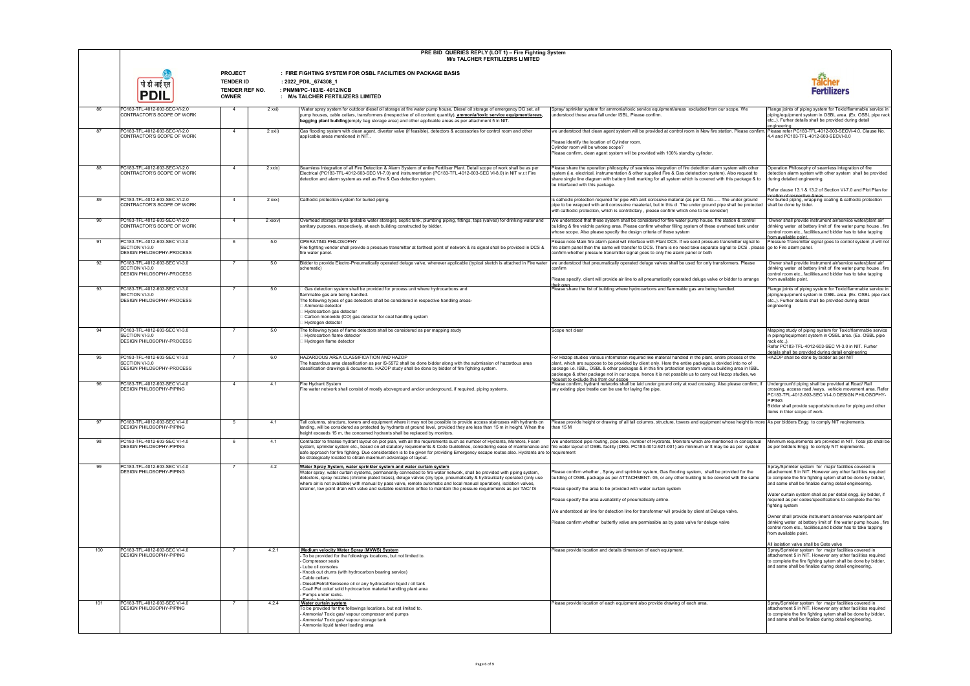|     | PRE BID QUERIES REPLY (LOT 1) - Fire Fighting System<br><b>M/s TALCHER FERTILIZERS LIMITED</b> |                                                                             |           |                                                                                                                                                                                                                                                                                                                                                                                                                                                                                                                                                                                    |                                                                                                                                                                                                                                                                                                                                                                                                                                                                                   |                                                                                                                                                                                                                                                                                           |
|-----|------------------------------------------------------------------------------------------------|-----------------------------------------------------------------------------|-----------|------------------------------------------------------------------------------------------------------------------------------------------------------------------------------------------------------------------------------------------------------------------------------------------------------------------------------------------------------------------------------------------------------------------------------------------------------------------------------------------------------------------------------------------------------------------------------------|-----------------------------------------------------------------------------------------------------------------------------------------------------------------------------------------------------------------------------------------------------------------------------------------------------------------------------------------------------------------------------------------------------------------------------------------------------------------------------------|-------------------------------------------------------------------------------------------------------------------------------------------------------------------------------------------------------------------------------------------------------------------------------------------|
|     | पी डी आई एत<br><b>PDIL</b>                                                                     | <b>PROJECT</b><br><b>TENDER ID</b><br><b>TENDER REF NO.</b><br><b>OWNER</b> |           | : FIRE FIGHTING SYSTEM FOR OSBL FACILITIES ON PACKAGE BASIS<br>: 2022_PDIL_674308_1<br>: PNMM/PC-183/E-4012/NCB<br>: M/s TALCHER FERTILIZERS LIMITED                                                                                                                                                                                                                                                                                                                                                                                                                               |                                                                                                                                                                                                                                                                                                                                                                                                                                                                                   | Talcher<br>Fertilizers                                                                                                                                                                                                                                                                    |
| 86  | PC183-TFL-4012-603-SEC-VI-2.0<br>CONTRACTOR'S SCOPE OF WORK                                    | -4                                                                          | 2 xxi)    | Water spray system for outdoor diesel oil storage at fire water pump house, Diesel oil storage of emergency DG set, all<br>pump houses, cable cellars, transformers (irrespective of oil content quantity), ammonia/toxic service equipment/areas,<br>bagging plant building(empty bag storage area) and other applicable areas as per attachment 5 in NIT.                                                                                                                                                                                                                        | Spray/ sprinkler system for ammonia/toxic service equipment/areas excluded from our scope. We<br>understood these area fall under ISBL, Please confirm.                                                                                                                                                                                                                                                                                                                           | Flange joints of piping system for Toxic/flammable service in<br>piping/equipment system in OSBL area. (Ex. OSBL pipe rack<br>etc.,). Furher details shall be provided during detail<br>engineering                                                                                       |
| 87  | PC183-TFL-4012-603-SEC-VI-2.0<br>CONTRACTOR'S SCOPE OF WORK                                    | $\overline{4}$                                                              | 2 xxii)   | Gas flooding system with clean agent, diverter valve (if feasible), detectors & accessories for control room and other<br>applicable areas mentioned in NIT.                                                                                                                                                                                                                                                                                                                                                                                                                       | we understood that clean agent system will be provided at control room in New fire station. Please confirm. Please refer PC183-TFL-4012-603-SECVI-4.0, Clause No.<br>Please identify the location of Cylinder room.<br>Cylinder room will be whose scope?<br>Please confirm, clean agent system will be provided with 100% standby cylinder.                                                                                                                                      | 4.4 and PC183-TFL-4012-603-SECVI-8.0                                                                                                                                                                                                                                                      |
| 88  | PC183-TFL-4012-603-SEC-VI-2.0<br>CONTRACTOR'S SCOPE OF WORK                                    | $\overline{4}$                                                              | 2 xxix)   | Seamless Integration of all Fire Detection & Alarm System of entire Fertiliser Plant. Detail scope of work shall be as per<br>Electrical (PC183-TFL-4012-603-SEC VI-7.0) and instrumentation (PC183-TFL-4012-603-SEC VI-8.0) in NIT w.r.t Fire<br>detection and alarm system as well as Fire & Gas detection system.                                                                                                                                                                                                                                                               | Please share the operation philosophy of seamless integration of fire detedtion alarm system with other<br>system (i.e. electrical, instrumentation & other supplied Fire & Gas detetection system). Also request to<br>share single line diagram with battery limit marking for all system which is covered with this package & to<br>be interfaced with this package.                                                                                                           | Operation Philosophy of seamless integration of fire<br>detection alarm system with other system shall be provided<br>during detailed engineering.<br>Refer clause 13.1 & 13.2 of Section VI-7.0 and Plot Plan for                                                                        |
| 89  | PC183-TFL-4012-603-SEC-VI-2.0                                                                  | $\overline{4}$                                                              | $2$ xxx)  | Cathodic protection system for buried piping.                                                                                                                                                                                                                                                                                                                                                                                                                                                                                                                                      | Is cathodic protection required for pipe with anit corossive material (as per Cl. No The under ground                                                                                                                                                                                                                                                                                                                                                                             | eation of respective Areas<br>For buried piping, wrapping coating & cathodic protection                                                                                                                                                                                                   |
|     | CONTRACTOR'S SCOPE OF WORK                                                                     |                                                                             |           |                                                                                                                                                                                                                                                                                                                                                                                                                                                                                                                                                                                    | pipe to be wrapped with anti corossoive maaterial, but in this cl. The under ground pipe shall be protected<br>with cathodic protection, which is contrdictary, please confirm which one to be consider)                                                                                                                                                                                                                                                                          | shall be done by bider.                                                                                                                                                                                                                                                                   |
| 90  | PC183-TFL-4012-603-SEC-VI-2.0<br>CONTRACTOR'S SCOPE OF WORK                                    | $\overline{4}$                                                              | $2$ xxxv) | Overhead storage tanks (potable water storage), septic tank, plumbing piping, fittings, taps (valves) for drinking water and<br>sanitary purposes, respectively, at each building constructed by bidder                                                                                                                                                                                                                                                                                                                                                                            | We understood that these system shall be considered for fire water pump house, fire station & control<br>building & fire veichle parking area. Please confirm whether filling system of these overhead tank under<br>whose scope. Also please specify the design criteria of these system                                                                                                                                                                                         | Owner shall provide instrument air/service water/plant air/<br>drinking water at battery limit of fire water pump house, fire<br>control room etc., facilities, and bidder has to take tapping<br>rom available point                                                                     |
| 91  | PC183-TFL-4012-603-SEC VI-3.0<br>SECTION VI-3.0<br>DESIGN PHILOSOPHY-PROCESS                   | 6                                                                           | 5.0       | OPERATING PHILOSOPHY<br>Fire fighting vendor shall provide a pressure transmitter at farthest point of network & its signal shall be provided in DCS &<br>fire water panel.                                                                                                                                                                                                                                                                                                                                                                                                        | Please note Main fire alarm panel will interface with Plant DCS. If we send pressure transmitter signal to<br>fire alarm panel then the same will transfer to DCS. There is no need take separate signal to DCS . please go to Fire alarm panel.<br>confirm whether pressure transmitter signal goes to only fire alarm panel or both                                                                                                                                             | Pressure Transmitter signal goes to control system, it will not                                                                                                                                                                                                                           |
| 92  | PC183-TFL-4012-603-SEC VI-3.0<br>SECTION VI-3.0<br>DESIGN PHILOSOPHY-PROCESS                   | $\overline{7}$                                                              | 5.0       | Bidder to provide Electro-Pneumatically operated deluge valve, wherever applicable (typical sketch is attached in Fire water<br>schematic)                                                                                                                                                                                                                                                                                                                                                                                                                                         | we understood that pneumatically operated deluge valves shall be used for only transformers. Please<br>confirm                                                                                                                                                                                                                                                                                                                                                                    | Owner shall provide instrument air/service water/plant air/<br>drinking water at battery limit of fire water pump house, fire<br>control room etc., facilities, and bidder has to take tapping                                                                                            |
|     |                                                                                                |                                                                             |           |                                                                                                                                                                                                                                                                                                                                                                                                                                                                                                                                                                                    | Please specify, client will provide air line to all pneumatically operated deluge valve or bidder to arrange<br>their own                                                                                                                                                                                                                                                                                                                                                         | from available point.                                                                                                                                                                                                                                                                     |
| 93  | PC183-TFL-4012-603-SEC VI-3.0<br>SECTION VI-3.0<br>DESIGN PHILOSOPHY-PROCESS                   | $\overline{7}$                                                              | 5.0       | Gas detection system shall be provided for process unit where hydrocarbons and<br>flammable gas are being handled.<br>The following types of gas detectors shall be considered in respective handling areas-<br>Ammonia detector<br>Hydrocarbon gas detector<br>Carbon monoxide (CO) gas detector for coal handling system<br>Hydrogen detector                                                                                                                                                                                                                                    | Please share the list of building where hydrocarbons and flammable gas are being handled.                                                                                                                                                                                                                                                                                                                                                                                         | Flange joints of piping system for Toxic/flammable service in<br>piping/equipment system in OSBL area. (Ex. OSBL pipe rack<br>etc.,). Furher details shall be provided during detail<br>engineering                                                                                       |
| 94  | PC183-TFL-4012-603-SEC VI-3.0<br>SECTION VI-3.0<br>DESIGN PHILOSOPHY-PROCESS                   |                                                                             | 5.0       | he following types of flame detectors shall be considered as per mapping study<br>Hydrocarbon flame detector<br>Hydrogen flame detector                                                                                                                                                                                                                                                                                                                                                                                                                                            | Scope not clear                                                                                                                                                                                                                                                                                                                                                                                                                                                                   | Mapping study of piping system for Toxic/flammable service<br>in piping/equipment system in OSBL area. (Ex. OSBL pipe<br>rack etc.,).<br>Refer PC183-TFL-4012-603-SEC VI-3.0 in NIT. Furher                                                                                               |
| 95  | PC183-TFL-4012-603-SEC VI-3.0                                                                  | $\overline{7}$                                                              | 6.0       | HAZARDOUS AREA CLASSIFICATION AND HAZOP                                                                                                                                                                                                                                                                                                                                                                                                                                                                                                                                            | For Hazop studies various information required like material handled in the plant, entire process of the                                                                                                                                                                                                                                                                                                                                                                          | details shall be provided during detail engineering<br>HAZOP shall be done by bidder as per NIT                                                                                                                                                                                           |
| 96  | SECTION VI-3.0<br>DESIGN PHILOSOPHY-PROCESS<br>PC183-TFL-4012-603-SEC VI-4.0                   | $\overline{4}$                                                              | 4.1       | The hazardous area classification as per IS-5572 shall be done bidder along with the submission of hazardous area<br>classification drawings & documents. HAZOP study shall be done by bidder of fire fighting system.<br>Fire Hydrant System                                                                                                                                                                                                                                                                                                                                      | plant, which are suppose to be provided by client only. Here the entire packege is devided into no of<br>package i.e. ISBL, OSBL & other packages & in this fire protection system various building area in ISBL<br>packeage & other package not in our scope, hence it is not possible us to carry out Hazop studies, we<br>request to exclude this from our scope<br>Please confirm, hydrant networks shall be laid under ground only at road crossing. Also please confirm, if | Undergrounfd piping shall be provided at Road/ Rail                                                                                                                                                                                                                                       |
|     | DESIGN PHILOSOPHY-PIPING                                                                       |                                                                             |           | Fire water network shall consist of mostly aboveground and/or underground, if required, piping systems.                                                                                                                                                                                                                                                                                                                                                                                                                                                                            | any existing pipe trestle can be use for laying fire pipe.                                                                                                                                                                                                                                                                                                                                                                                                                        | crossing, access road /wavs. vehicle movement area. Refer<br>PC183-TFL-4012-603-SEC VI-4.0 DESIGN PHILOSOPHY-<br><b>PIPING</b><br>Bidder shall provide supports/structure for piping and other<br>items in thier scope of work.                                                           |
| 97  | PC183-TFL-4012-603-SEC VI-4.0<br>DESIGN PHILOSOPHY-PIPING                                      | $5\overline{5}$                                                             | 4.1       | Tall columns, structure, towers and equipment where it may not be possible to provide access staircases with hydrants on<br>landing, will be considered as protected by hydrants at ground level, provided they are less than 15 m in height. When the<br>height exceeds 15 m, the concerned hydrants shall be replaced by monitors.                                                                                                                                                                                                                                               | Please provide height or drawing of all tall columns, structure, towers and equipment whose height is more  As per bidders Engg  to comply NIT reqirements.<br>than 15 M                                                                                                                                                                                                                                                                                                          |                                                                                                                                                                                                                                                                                           |
| 98  | PC183-TFL-4012-603-SEC VI-4.0<br>DESIGN PHILOSOPHY-PIPING                                      | 6                                                                           | 4.1       | Contractor to finalise hydrant layout on plot plan, with all the requirements such as number of Hydrants, Monitors, Foam<br>system, sprinkler system etc., based on all statutory requirements & Code Guidelines, considering ease of maintenance and ffire water layout of OSBL facility (DRG. PC183-4012-921-001) are minimum or It may be as per system<br>safe approach for fire fighting. Due consideration is to be given for providing Emergency escape routes also. Hydrants are to requirement<br>be strategically located to obtain maximum advantage of layout.         | We understood pipe routing, pipe size, number of Hydrants, Monitors which are mentioned in conceptual                                                                                                                                                                                                                                                                                                                                                                             | Minimum requirements are provided in NIT. Total job shall be<br>as per bidders Engg to comply NIT reqirements.                                                                                                                                                                            |
| 99  | PC183-TFL-4012-603-SEC VI-4.0<br>DESIGN PHILOSOPHY-PIPING                                      | $\overline{7}$                                                              | 4.2       | Water Spray System, water sprinkler system and water curtain system<br>Water spray, water curtain systems, permanently connected to fire water network, shall be provided with piping system,<br>detectors, spray nozzles (chrome plated brass), deluge valves (dry type, pneumatically & hydraulically operated (only use<br>where air is not available) with manual by pass valve, remote automatic and local manual operation), isolation valves,<br>strainer, low point drain with valve and suitable restriction orifice to maintain the pressure requirements as per TAC/ IS | Please confirm whether , Spray and sprinkler system, Gas flooding system, shall be provided for the<br>building of OSBL package as per ATTACHMENT-05, or any other building to be cevered with the same<br>Please specify the area to be provided with water curtain system                                                                                                                                                                                                       | Spray/Sprinkler system for major facilities covered in<br>attachement 5 in NIT. However any other facilities required<br>to complete the fire fighting sytem shall be done by bidder,<br>and same shall be finalize during detail engineering.                                            |
|     |                                                                                                |                                                                             |           |                                                                                                                                                                                                                                                                                                                                                                                                                                                                                                                                                                                    | Please specify the area availability of pneumatically airline.                                                                                                                                                                                                                                                                                                                                                                                                                    | Water curtain system shall as per detail engg. By bidder, if<br>required as per codes/specifications to complete the fire<br>fighting system                                                                                                                                              |
|     |                                                                                                |                                                                             |           |                                                                                                                                                                                                                                                                                                                                                                                                                                                                                                                                                                                    | We understood air line for detection line for transformer will provide by client at Deluge valve.                                                                                                                                                                                                                                                                                                                                                                                 | Owner shall provide instrument air/service water/plant air/                                                                                                                                                                                                                               |
|     |                                                                                                |                                                                             |           |                                                                                                                                                                                                                                                                                                                                                                                                                                                                                                                                                                                    | Please confirm whether butterfly valve are permissible as by pass valve for deluge valve                                                                                                                                                                                                                                                                                                                                                                                          | drinking water at battery limit of fire water pump house, fire<br>control room etc., facilities, and bidder has to take tapping<br>from available point.                                                                                                                                  |
| 100 | PC183-TFL-4012-603-SEC VI-4.0<br>DESIGN PHILOSOPHY-PIPING                                      | -7                                                                          | 4.2.1     | Medium velocity Water Spray (MVWS) System<br>To be provided for the followings locations, but not limited to.<br>Compressor seals<br>Lube oil consoles<br>Knock out drums (with hydrocarbon bearing service)<br>Cable cellars<br>Diesel/Petrol/Kerosene oil or any hydrocarbon liquid / oil tank<br>Coal/ Pet coke/ solid hydrocarbon material handling plant area<br>Pumps under racks.                                                                                                                                                                                           | Please provide location and details dimension of each equipment.                                                                                                                                                                                                                                                                                                                                                                                                                  | All isolation valve shall be Gate valve<br>Spray/Sprinkler system for major facilities covered in<br>attachement 5 in NIT. However any other facilities required<br>to complete the fire fighting sytem shall be done by bidder,<br>and same shall be finalize during detail engineering. |
| 101 | PC183-TFL-4012-603-SEC VI-4.0<br>DESIGN PHILOSOPHY-PIPING                                      | $\overline{7}$                                                              | 4.2.4     | <b>Water curtain system</b><br>To be provided for the followings locations, but not limited to.<br>Ammonia/ Toxic gas/ vapour compressor and pumps<br>Ammonia/ Toxic gas/ vapour storage tank<br>Ammonia liquid tanker loading area                                                                                                                                                                                                                                                                                                                                                | Please provide location of each equipment also provide drawing of each area.                                                                                                                                                                                                                                                                                                                                                                                                      | Spray/Sprinkler system for major facilities covered in<br>attachement 5 in NIT. However any other facilities required<br>to complete the fire fighting sytem shall be done by bidder,<br>and same shall be finalize during detail engineering.                                            |

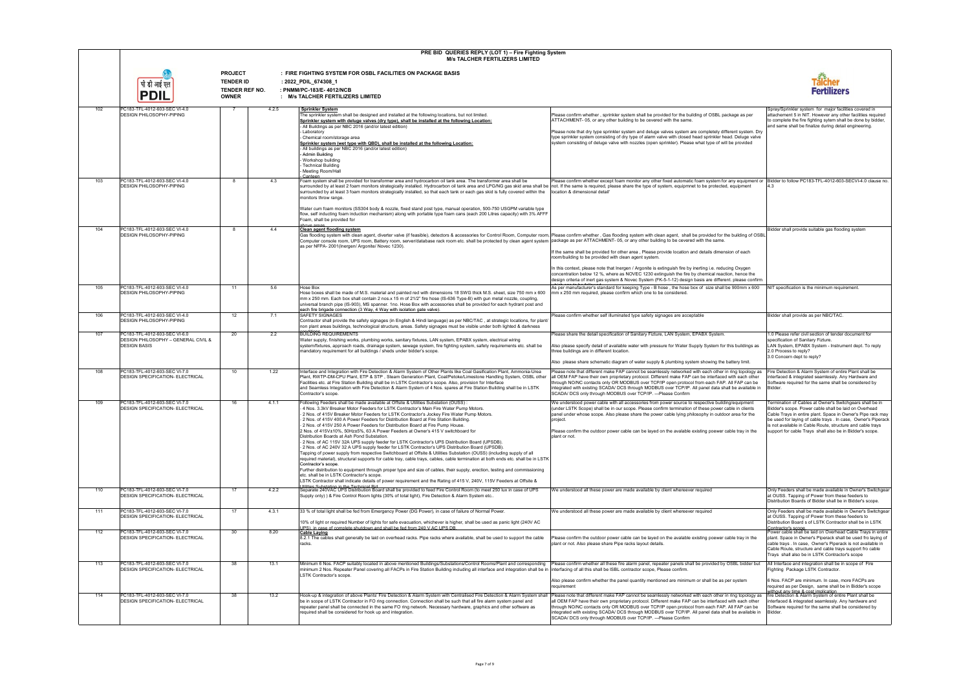|     |                                                                                             |                                                                      | PRE BID QUERIES REPLY (LOT 1) - Fire Fighting System<br><b>M/s TALCHER FERTILIZERS LIMITED</b>                                                                                                                                                                                                                                                                                                                                                                                                                                                                                                                                                                                                                                                                                                                                                                                                                                                                                                                                                                                                                                                                                                                                                                                                                                                                                                                                        |                                                                                                                                                                                                                                                                                                                                                                                                                                                                                                                                                                                                            |                                                                                                                                                                                                                                                                                                                                                                             |
|-----|---------------------------------------------------------------------------------------------|----------------------------------------------------------------------|---------------------------------------------------------------------------------------------------------------------------------------------------------------------------------------------------------------------------------------------------------------------------------------------------------------------------------------------------------------------------------------------------------------------------------------------------------------------------------------------------------------------------------------------------------------------------------------------------------------------------------------------------------------------------------------------------------------------------------------------------------------------------------------------------------------------------------------------------------------------------------------------------------------------------------------------------------------------------------------------------------------------------------------------------------------------------------------------------------------------------------------------------------------------------------------------------------------------------------------------------------------------------------------------------------------------------------------------------------------------------------------------------------------------------------------|------------------------------------------------------------------------------------------------------------------------------------------------------------------------------------------------------------------------------------------------------------------------------------------------------------------------------------------------------------------------------------------------------------------------------------------------------------------------------------------------------------------------------------------------------------------------------------------------------------|-----------------------------------------------------------------------------------------------------------------------------------------------------------------------------------------------------------------------------------------------------------------------------------------------------------------------------------------------------------------------------|
|     |                                                                                             | <b>PROJECT</b><br><b>TENDER ID</b><br>TENDER REF NO.<br><b>OWNER</b> | : FIRE FIGHTING SYSTEM FOR OSBL FACILITIES ON PACKAGE BASIS<br>: 2022_PDIL_674308_1<br>: PNMM/PC-183/E-4012/NCB<br>: M/s TALCHER FERTILIZERS LIMITED                                                                                                                                                                                                                                                                                                                                                                                                                                                                                                                                                                                                                                                                                                                                                                                                                                                                                                                                                                                                                                                                                                                                                                                                                                                                                  |                                                                                                                                                                                                                                                                                                                                                                                                                                                                                                                                                                                                            |                                                                                                                                                                                                                                                                                                                                                                             |
| 102 | PC183-TFL-4012-603-SEC VI-4.0<br>DESIGN PHILOSOPHY-PIPING                                   | -7                                                                   | 4.2.5<br><b>Sprinkler System</b><br>The sprinkler system shall be designed and installed at the following locations, but not limited.<br>Sprinkler system with deluge valves (dry type), shall be installed at the following Location:<br>- All Buildings as per NBC 2016 (and/or latest edition)<br>Laboratory<br>Chemical room/storage area<br>Sprinkler system (wet type with QBD), shall be installed at the following Location:<br>All buildings as per NBC 2016 (and/or latest edition)<br>Admin Building<br>Workshop building<br><b>Technical Building</b><br>Meeting Room/Hall<br>Canteen                                                                                                                                                                                                                                                                                                                                                                                                                                                                                                                                                                                                                                                                                                                                                                                                                                     | Please confirm whether, sprinkler system shall be provided for the building of OSBL package as per<br>ATTACHMENT-05, or any other building to be cevered with the same.<br>Please note that dry type sprinkler system and deluge valves system are completely different system. Dry<br>type sprinkler system consisting of dry type of alarm valve with closed head sprinkler head. Deluge valve<br>system consisting of deluge valve with nozzles (open sprinkler). Please what type of will be provided                                                                                                  | Spray/Sprinkler system for major facilities covered in<br>attachement 5 in NIT. However any other facilities required<br>to complete the fire fighting sytem shall be done by bidder,<br>and same shall be finalize during detail engineering.                                                                                                                              |
| 103 | PC183-TFL-4012-603-SEC VI-4.0<br><b>DESIGN PHILOSOPHY-PIPING</b>                            | 8                                                                    | 4.3<br>Foam system shall be provided for transformer area and hydrocarbon oil tank area. The transformer area shall be<br>surrounded by at least 2 foam monitors strategically installed. Hydrocarbon oil tank area and LPG/NG gas skid area shall be not. If the same is required, please share the type of system, equipmet to be protected, equipment<br>surrounded by at least 3 foam monitors strategically installed, so that each tank or each gas skid is fully covered within the<br>monitors throw range.<br>Water cum foam monitors (SS304 body & nozzle, fixed stand post type, manual operation, 500-750 USGPM variable type<br>flow, self inducting foam induction mechanism) along with portable type foam cans (each 200 Litres capacity) with 3% AFFF<br>Foam, shall be provided for                                                                                                                                                                                                                                                                                                                                                                                                                                                                                                                                                                                                                                 | Please confirm whether except foam monitor any other fixed automatic foam system for any equipment or [Bidder to follow PC183-TFL-4012-603-SECVI-4.0 clause no.<br>location & dimensional detail'                                                                                                                                                                                                                                                                                                                                                                                                          |                                                                                                                                                                                                                                                                                                                                                                             |
| 104 | PC183-TFL-4012-603-SEC VI-4.0<br><b>DESIGN PHILOSOPHY-PIPING</b>                            | 8                                                                    | above areas<br>4.4<br><b>Clean agent flooding system</b><br>Gas flooding system with clean agent, diverter valve (if feasible), detectors & accessories for Control Room, Computer room, Please confirm whether, Gas flooding system with clean agent, shall be provided for the building<br>Computer console room, UPS room, Battery room, server/database rack room etc. shall be protected by clean agent system package as per ATTACHMENT-05, or any other building to be cevered with the same.<br>as per NFPA- 2001(Inergen/ Argonite/ Novec 1230)                                                                                                                                                                                                                                                                                                                                                                                                                                                                                                                                                                                                                                                                                                                                                                                                                                                                              | If the same shall be provided for other area, Please provide location and details dimension of each<br>room/building to be provided with clean agent system.<br>In this context, please note that Inergen / Argonite is extinguish fire by inerting i.e. reducing Oxygen<br>concentration below 12 %, where as NOVEC 1230 extinguish the fire by chemical reaction, hence the<br>design criteria of inert gas system & Novec System (FK-5-1-12) design basis are different. please confirm                                                                                                                 | Bidder shall provide suitable gas flooding system                                                                                                                                                                                                                                                                                                                           |
| 105 | PC183-TFL-4012-603-SEC VI-4.0<br><b>DESIGN PHILOSOPHY-PIPING</b>                            | 11                                                                   | 5.6<br>Hose Box<br>Hose boxes shall be made of M.S. material and painted red with dimensions 18 SWG thick M.S. sheet, size 750 mm x 600<br>mm x 250 mm. Each box shall contain 2 nos.x 15 m of 21/2" fire hose (IS-636 Type-B) with gun metal nozzle, coupling,<br>universal branch pipe (IS-903), MS spanner. 1no. Hose Box with accessories shall be provided for each hydrant post and<br>each fire brigade connection (3 Way, 4 Way with isolation gate valve).                                                                                                                                                                                                                                                                                                                                                                                                                                                                                                                                                                                                                                                                                                                                                                                                                                                                                                                                                                   | As per manufacturer's standard for keeping Type - B hose, the hose box of size shall be 900mm x 600<br>mm x 250 mm required, please confirm which one to be considered.                                                                                                                                                                                                                                                                                                                                                                                                                                    | NIT specification is the minimum requirement.                                                                                                                                                                                                                                                                                                                               |
| 106 | PC183-TFL-4012-603-SEC VI-4.0<br><b>DESIGN PHILOSOPHY-PIPING</b>                            | 12                                                                   | 7.1<br><b>SAFETY SIGNAGES</b><br>Contractor shall provide the safety signages (in English & Hindi language) as per NBC/TAC, at strategic locations, for plant/<br>non plant areas buildings, technological structure, areas. Safety signages must be visible under both lighted & darkness                                                                                                                                                                                                                                                                                                                                                                                                                                                                                                                                                                                                                                                                                                                                                                                                                                                                                                                                                                                                                                                                                                                                            | Please confirm whether self illuminated type safety signages are acceptable                                                                                                                                                                                                                                                                                                                                                                                                                                                                                                                                | Bidder shall provide as per NBC/TAC.                                                                                                                                                                                                                                                                                                                                        |
| 107 | PC183-TFL-4012-603-SEC VI-6.0<br>DESIGN PHILOSOPHY - GENERAL CIVIL &<br><b>DESIGN BASIS</b> | 20                                                                   | 2.2<br><b>BUILDING REQUIREMENTS</b><br>Water supply, finishing works, plumbing works, sanitary fixtures, LAN system, EPABX system, electrical wiring<br>system/fixtures, approach roads, drainage system, sewage system, fire fighting system, safety requirements etc. shall be<br>mandatory requirement for all buildings / sheds under bidder's scope.                                                                                                                                                                                                                                                                                                                                                                                                                                                                                                                                                                                                                                                                                                                                                                                                                                                                                                                                                                                                                                                                             | Please share the detail specification of Sanitary Fizture, LAN System, EPABX System.<br>Also please specify detail of available water with pressure for Water Supply System for this buildings as<br>three buildings are in different location.<br>Also please share schematic diagram of water supply & plumbing system showing the battery limit.                                                                                                                                                                                                                                                        | 1.0 Please refer civil section of tender document for<br>specification of Sanitary Fizture.<br>LAN System, EPABX System - Instrument dept. To reply<br>2.0 Process to reply?<br>3.0 Concern dept to reply?                                                                                                                                                                  |
| 108 | PC183-TFL-4012-603-SEC VI-7.0<br><b>DESIGN SPECIFICATION- ELECTRICAL</b>                    | 10                                                                   | 1.22<br>Interface and Integration with Fire Detection & Alarm System of Other Plants like Coal Gasification Plant, Ammonia-Urea<br>Plant, RWTP-DM-CPU Plant, ETP & STP, Steam Generation Plant, Coal/Petoke/Limestone Handling System, OSBL other<br>Facilities etc. at Fire Station Building shall be in LSTK Contractor's scope. Also, provision for Interface<br>and Seamless Integration with Fire Detection & Alarm System of 4 Nos. spares at Fire Station Building shall be in LSTK<br>Contractor's scope.                                                                                                                                                                                                                                                                                                                                                                                                                                                                                                                                                                                                                                                                                                                                                                                                                                                                                                                     | Please note that different make FAP cannot be seamlessly networked with each other in ring topology as<br>all OEM FAP have their own proprietary protocol. Different make FAP can be interfaced with each other<br>through NO/NC contacts only OR MODBUS over TCP/IP open protocol from each FAP. All FAP can be<br>integrated with existing SCADA/ DCS through MODBUS over TCP/IP. All panel data shall be available in<br>SCADA/ DCS only through MODBUS over TCP/IP. ---Please Confirm                                                                                                                  | Fire Detection & Alarm System of entire Plant shall be<br>nterfaced & integrated seamlessly. Any Hardware and<br>Software required for the same shall be considered by<br>Bidder.                                                                                                                                                                                           |
| 109 | PC183-TFL-4012-603-SEC VI-7.0<br><b>DESIGN SPECIFICATION- ELECTRICAL</b>                    | 16                                                                   | 4.1.1<br>Following Feeders shall be made available at Offsite & Utilities Substation (OUSS)<br>4 Nos. 3.3kV Breaker Motor Feeders for LSTK Contractor's Main Fire Water Pump Motors.<br>2 Nos. of 415V Breaker Motor Feeders for LSTK Contractor's Jockey Fire Water Pump Motors.<br>2 Nos. of 415V 400 A Power Feeders for Distribution Board at Fire Station Building.<br>2 Nos. of 415V 250 A Power Feeders for Distribution Board at Fire Pump House.<br>2 Nos. of 415V±10%, 50Hz±5%, 63 A Power Feeders at Owner's 415 V switchboard for<br>Distribution Boards at Ash Pond Substation.<br>2 Nos. of AC 115V 32A UPS supply feeder for LSTK Contractor's UPS Distribution Board (UPSDB).<br>2 Nos. of AC 240V 32 A UPS supply feeder for LSTK Contractor's UPS Distribution Board (UPSDB).<br>Tapping of power supply from respective Switchboard at Offsite & Utilities Substation (OUSS) (including supply of all<br>required material), structural supports for cable tray, cable trays, cables, cable termination at both ends etc. shall be in LSTK<br>Contractor's scope.<br>Further distribution to equipment through proper type and size of cables, their supply, erection, testing and commissioning<br>etc. shall be in LSTK Contractor's scope.<br>LSTK Contractor shall indicate details of power requirement and the Rating of 415 V, 240V, 115V Feeders at Offsite &<br>Itilities Substation in the Technical Rid | We understood power cable with all accessories from power source to respective building/equipment<br>(under LSTK Scope) shall be in our scope. Please confirm termination of these power cable in clients<br>panel under whose scope. Also please share the power cable lying philosophy in outdoor area for the<br>project.<br>Please confirm the outdoor power cable can be layed on the avalable existing poewer cable tray in the<br>plant or not.                                                                                                                                                     | Termination of Cables at Owner's Switchgears shall be in<br>Bidder's scope. Power cable shall be laid on Overhead<br>Cable Trays in entire plant. Space in Owner's Pipe rack may<br>be used for laying of cable trays . In case, Owner's Piperack<br>is not available in Cable Route, structure and cable trays<br>support for cable Trays shall also be in Bidder's scope. |
| 110 | PC183-TFL-4012-603-SEC VI-7.0<br><b>DESIGN SPECIFICATION- ELECTRICAL</b>                    | 17                                                                   | 4.2.2<br>Separate 240VAC UPS Distribution Board shall be provided to feed Fire Control Room (to meet 250 lux in case of UPS<br>Supply only) ) & Fire Control Room lights (30% of total light). Fire Detection & Alarm System etc                                                                                                                                                                                                                                                                                                                                                                                                                                                                                                                                                                                                                                                                                                                                                                                                                                                                                                                                                                                                                                                                                                                                                                                                      | We understood all these power are made available by client whereever required                                                                                                                                                                                                                                                                                                                                                                                                                                                                                                                              | Only Feeders shall be made available in Owner's Switchgear<br>at OUSS. Tapping of Power from these feeders to<br>Distribution Boards of Bidder shall be in Bidder's scope.                                                                                                                                                                                                  |
| 111 | PC183-TFL-4012-603-SEC VI-7.0<br><b>DESIGN SPECIFICATION- ELECTRICAL</b>                    | 17                                                                   | 4.3.1<br>33 % of total light shall be fed from Emergency Power (DG Power), in case of failure of Normal Power.<br>10% of light or required Number of lights for safe evacuation, whichever is higher, shall be used as panic light (240V AC                                                                                                                                                                                                                                                                                                                                                                                                                                                                                                                                                                                                                                                                                                                                                                                                                                                                                                                                                                                                                                                                                                                                                                                           | We understood all these power are made available by client whereever required                                                                                                                                                                                                                                                                                                                                                                                                                                                                                                                              | Only Feeders shall be made available in Owner's Switchgear<br>at OUSS. Tapping of Power from these feeders to<br>Distribution Board s of LSTK Contractor shall be in LSTK                                                                                                                                                                                                   |
| 112 | PC183-TFL-4012-603-SEC VI-7.0<br><b>DESIGN SPECIFICATION- ELECTRICAL</b>                    | 30                                                                   | UPS), in case of complete shutdown and shall be fed from 240 V AC UPS DB.<br>8.20<br><b>Cable Laying</b><br>8.2.1 The cables shall generally be laid on overhead racks. Pipe racks where available, shall be used to support the cable<br>racks.                                                                                                                                                                                                                                                                                                                                                                                                                                                                                                                                                                                                                                                                                                                                                                                                                                                                                                                                                                                                                                                                                                                                                                                      | Please confirm the outdoor power cable can be layed on the avalable existing poewer cable tray in the<br>plant or not. Also please share Pipe racks layout details.                                                                                                                                                                                                                                                                                                                                                                                                                                        | Contractor's scope.<br>Power cable shall be laid on Overhead Cable Trays in entire<br>plant. Space in Owner's Piperack shall be used fro laying of<br>cable trays . In case, Owner's Piperack is not available in<br>Cable Route, structure and cable trays support fro cable<br>Trays shall also be in LSTK Contractor's scope                                             |
| 113 | PC183-TFL-4012-603-SEC VI-7.0<br><b>DESIGN SPECIFICATION- ELECTRICAL</b>                    | 38                                                                   | 13.1<br>Minimum 6 Nos. FACP suitably located in above mentioned Buildings/Substations/Control Rooms/Plant and corresponding<br>minimum 2 Nos. Repeater Panel covering all FACPs in Fire Station Building including all interface and integration shall be in  interfacing of all this shall be ISBL contractor scope, Please confirm.<br>LSTK Contractor's scope.                                                                                                                                                                                                                                                                                                                                                                                                                                                                                                                                                                                                                                                                                                                                                                                                                                                                                                                                                                                                                                                                     | Please confirm whether all these fire alarm panel, repeater panels shall be provided by OSBL bidder but                                                                                                                                                                                                                                                                                                                                                                                                                                                                                                    | All Interface and integration shall be in scope of Fire<br>Fighting Package LSTK Contractor.                                                                                                                                                                                                                                                                                |
| 114 | PC183-TFL-4012-603-SEC VI-7.0<br><b>DESIGN SPECIFICATION- ELECTRICAL</b>                    | 38                                                                   | 13.2<br>Hook-up & integration of above Plants' Fire Detection & Alarm System with Centralised Fire Detection & Alarm System shall<br>be in scope of LSTK Contractor in FO ring connection. Connection shall be such that all fire alarm system panel and<br>repeater panel shall be connected in the same FO ring network. Necessary hardware, graphics and other software as<br>required shall be considered for hook up and integration.                                                                                                                                                                                                                                                                                                                                                                                                                                                                                                                                                                                                                                                                                                                                                                                                                                                                                                                                                                                            | Also please confirm whether the panel quantity mentioned are minimum or shall be as per system<br>requirement<br>Please note that different make FAP cannot be seamlessly networked with each other in ring topology as<br>all OEM FAP have their own proprietary protocol. Different make FAP can be interfaced with each other<br>through NO/NC contacts only OR MODBUS over TCP/IP open protocol from each FAP. All FAP can be<br>integrated with existing SCADA/ DCS through MODBUS over TCP/IP. All panel data shall be available in<br>SCADA/ DCS only through MODBUS over TCP/IP. ---Please Confirm | 6 Nos. FACP are minimum. In case, more FACPs are<br>required as per Design, same shall be in Bidder's scope<br>without any time & cost implication.<br>fire Detection & Alarm System of entire Plant shall be<br>interfaced & integrated seamlessly. Any hardware and<br>Software required for the same shall be considered by<br>Bidder.                                   |

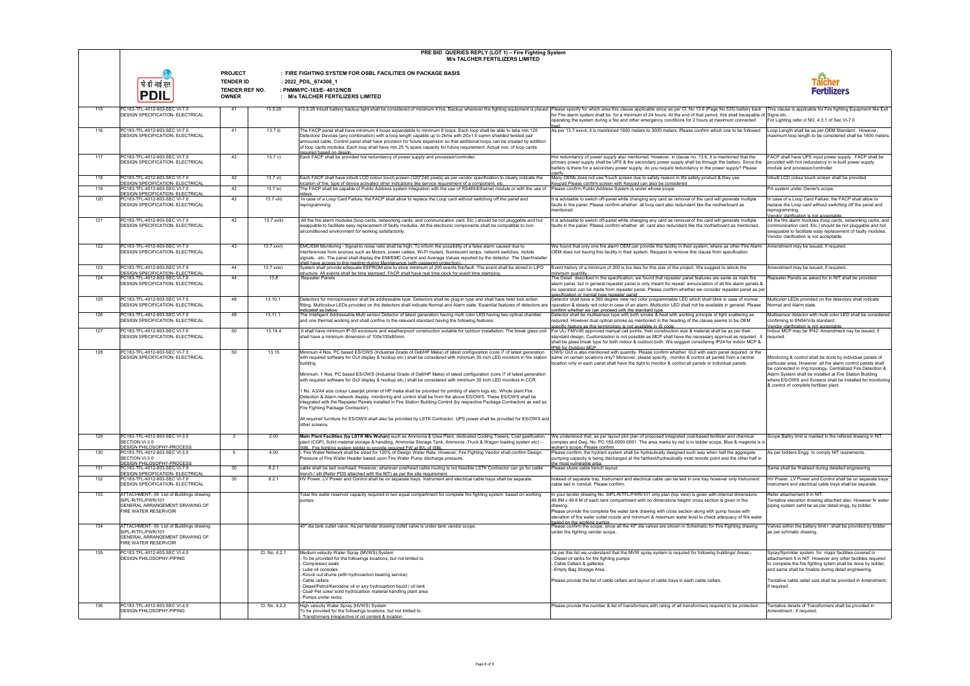|     |                                                                                                                                 |                                                                      |               | PRE BID QUERIES REPLY (LOT 1) - Fire Fighting System<br><b>M/s TALCHER FERTILIZERS LIMITED</b>                                                                                                                                                                                                                                                                                                                                                                                                                                                                                                                                                   |                                                                                                                                                                                                                                                                                                                                                                                                                                      |                                                                                                                                                                                                                                                                                                                                                                 |
|-----|---------------------------------------------------------------------------------------------------------------------------------|----------------------------------------------------------------------|---------------|--------------------------------------------------------------------------------------------------------------------------------------------------------------------------------------------------------------------------------------------------------------------------------------------------------------------------------------------------------------------------------------------------------------------------------------------------------------------------------------------------------------------------------------------------------------------------------------------------------------------------------------------------|--------------------------------------------------------------------------------------------------------------------------------------------------------------------------------------------------------------------------------------------------------------------------------------------------------------------------------------------------------------------------------------------------------------------------------------|-----------------------------------------------------------------------------------------------------------------------------------------------------------------------------------------------------------------------------------------------------------------------------------------------------------------------------------------------------------------|
|     | पी डी आई ए<br><b>PDI</b>                                                                                                        | <b>PROJECT</b><br><b>TENDER ID</b><br>TENDER REF NO.<br><b>OWNER</b> |               | : FIRE FIGHTING SYSTEM FOR OSBL FACILITIES ON PACKAGE BASIS<br>: 2022_PDIL_674308_1<br>: PNMM/PC-183/E-4012/NCB<br>: M/s TALCHER FERTILIZERS LIMITED                                                                                                                                                                                                                                                                                                                                                                                                                                                                                             |                                                                                                                                                                                                                                                                                                                                                                                                                                      | Taicher<br>Fertilizers                                                                                                                                                                                                                                                                                                                                          |
| 115 | PC183-TFL-4012-603-SEC VI-7.0<br><b>DESIGN SPECIFICATION- ELECTRICAL</b>                                                        | 41                                                                   | 13.5.28       | 13.5.28 Inbuilt battery backup light shall be considered of minimum 4 hrs. Backup wherever fire fighting equipment is placed  Please specify for which area this clause applicable since as per Cl. No 13.6 (Page No 535) batt                                                                                                                                                                                                                                                                                                                                                                                                                   | for Fire alarm system shall be for a minimum of 24 hours. At the end of that period, this shall becapable of Signs etc.<br>operating the system during a fire and other emergency conditions for 2 hours at maximum connected                                                                                                                                                                                                        | For Lighting refer cl NO. 4.3.1 of Sec VI-7.0                                                                                                                                                                                                                                                                                                                   |
| 116 | PC183-TFL-4012-603-SEC VI-7.0<br><b>DESIGN SPECIFICATION- ELECTRICAL</b>                                                        | 41                                                                   | $13.7$ ii)    | The FACP panel shall have minimum 4 loops expandable to minimum 8 loops. Each loop shall be able to take min 120<br>Detectors/ Devices (any combination) with a loop length capable up to 2kms with 2Cx1.5 sqmm shielded twisted pair<br>armoured cable. Control panel shall have provision for future expansion so that additional loops can be created by addition<br>of loop cards modules. Each loop shall have min 25 % spare capacity for future requirement. Actual nos. of loop cards                                                                                                                                                    | As per 13.7 xxxvii, it is mentioned 1600 meters to 3000 meters. Please confirm which one to be followed                                                                                                                                                                                                                                                                                                                              | Loop Length shall be as per OEM Standard. However,<br>maximum loop length to be considered shall be 1600 meters.                                                                                                                                                                                                                                                |
| 117 | PC183-TFL-4012-603-SEC VI-7.0<br><b>DESIGN SPECIFICATION- ELECTRICAL</b>                                                        | 42                                                                   | 13.7 v)       | required based on design<br>Each FACP shall be provided hot redundancy of power supply and processor/controller.                                                                                                                                                                                                                                                                                                                                                                                                                                                                                                                                 | Hot redundancy of power supply also mentioned. However, in clause no. 13.6, it is mentioned that the<br>primary power supply shall be UPS & the secondary power supply shall be through the battery. Since the<br>battery is there for a secondary power supply, do you require redundancy in the power supply? Please<br>clarify.                                                                                                   | FACP shall have UPS input power supply. FACP shall be<br>provided with hot redundancy in in-built power supply<br>module and processor/controller.                                                                                                                                                                                                              |
| 118 | PC183-TFL-4012-603-SEC VI-7.0                                                                                                   | 42                                                                   | 13.7 vi)      | Each FACP shall have inbuilt LCD colour touch screen (320*240 pixels) as per vendor specification to clearly indicate the                                                                                                                                                                                                                                                                                                                                                                                                                                                                                                                        | Many OEMs does not use Touch screen due to safety reason in life safety product & they use                                                                                                                                                                                                                                                                                                                                           | Inbuilt LCD colour touch screen shall be provided.                                                                                                                                                                                                                                                                                                              |
| 119 | <b>DESIGN SPECIFICATION- ELECTRICAL</b><br>PC183-TFL-4012-603-SEC VI-7.0                                                        | 42                                                                   | $13.7$ ix)    | location of fire, type of device activated other indications like service requirement of a component, etc.<br>The FACP shall be capable of Public Address system integration with the use of RS485/Ethernet module or with the use of                                                                                                                                                                                                                                                                                                                                                                                                            | Keypad.Please confirm screen with Keypad can also be considered<br>Please confirm Public Address System is under whose scope                                                                                                                                                                                                                                                                                                         | PA system under Owner's scope.                                                                                                                                                                                                                                                                                                                                  |
| 120 | <b>DESIGN SPECIFICATION- ELECTRICAL</b><br>PC183-TFL-4012-603-SEC VI-7.0<br><b>DESIGN SPECIFICATION- ELECTRICAL</b>             | 42                                                                   | $13.7$ viii)  | relays<br>In case of a Loop Card Failure, the FACP shall allow to replace the Loop card without switching off the panel and<br>reprogramming.                                                                                                                                                                                                                                                                                                                                                                                                                                                                                                    | It is advisable to switch off-panel while changing any card as removal of the card will generate multiple<br>faults in the panel. Please confirm whether all loop card also redundant like the motherboard as<br>mentioned.                                                                                                                                                                                                          | In case of a Loop Card Failure, the FACP shall allow to<br>eplace the Loop card without switching off the panel and<br>reprogramming.<br>Vendor clarification is not acceptable.                                                                                                                                                                                |
| 121 | PC183-TFL-4012-603-SEC VI-7.0<br><b>DESIGN SPECIFICATION- ELECTRICAL</b>                                                        | 42                                                                   | 13.7 xviii)   | All the fire alarm modules (loop cards, networking cards, and communication card. Etc.) should be hot pluggable and hot<br>swappable to facilitate easy replacement of faulty modules. All the electronic components shall be compatible to non-<br>airconditioned environment for working satisfactorily.                                                                                                                                                                                                                                                                                                                                       | It is advisable to switch off-panel while changing any card as removal of the card will generate multiple<br>faults in the panel. Please confirm whether all card also redundant like the motherboard as mentioned.                                                                                                                                                                                                                  | All the fire alarm modules (loop cards, networking cards, and<br>communication card. Etc.) should be hot pluggable and hot<br>swappable to facilitate easy replacement of faulty modules.<br>Vendor clarification is not acceptable.                                                                                                                            |
| 122 | PC183-TFL-4012-603-SEC VI-7.0<br><b>DESIGN SPECIFICATION- ELECTRICAL</b>                                                        | 43                                                                   | 13.7 xxvi)    | EMC/EMI Monitoring - Signal-to noise ratio shall be high. To inform the possibility of a false alarm caused due to<br>interferences from sources such as Motors, power cables, Wi-Fi routers, fluorescent lamps, network switches, mobile<br>signalsetc. The panel shall display the EMI/EMC Current and Average Values reported by the detector. The User/Installer<br>shall have access to this reading during Maintenance (with password protection).                                                                                                                                                                                         | We found that only one fire alarm OEM can provide this facility in their system, where as other Fire Alarm Amendment may be issued, if required.<br>OEM does not having this facility in their system. Request to remove this clause from specification                                                                                                                                                                              |                                                                                                                                                                                                                                                                                                                                                                 |
| 123 | PC183-TFL-4012-603-SEC VI-7.0<br><b>DESIGN SPECIFICATION- ELECTRICAL</b>                                                        | 44                                                                   | $13.7$ xxix)  | System shall provide adequate EEPROM size to store minimum of 200 events fire/fault. The event shall be stored in LIFO<br>structure. All events shall be time stamped. FACP shall have real time clock for event time stamping                                                                                                                                                                                                                                                                                                                                                                                                                   | Event history of a minimum of 200 is too less for this size of the project. We suggest to relook the                                                                                                                                                                                                                                                                                                                                 | Amendment may be issued, if required.                                                                                                                                                                                                                                                                                                                           |
| 124 | PC183-TFL-4012-603-SEC VI-7.0<br><b>DESIGN SPECIFICATION- ELECTRICAL</b>                                                        | 44                                                                   | 13.8          | <b>Repeater Panels</b>                                                                                                                                                                                                                                                                                                                                                                                                                                                                                                                                                                                                                           | minimum quantity<br>The Detail described in the specification, we found that repeater panel features are same as main fire<br>alarm panel, but in general repeater panel is only meant for repeat annunciation of all fire alarm panels &<br>no operation can be made from repeater panel. Please confirm whether we consider repeater panel as per<br>specification or normal type repeater panel                                   | Repeater Panels as asked for in NIT shall be provided.                                                                                                                                                                                                                                                                                                          |
| 125 | PC183-TFL-4012-603-SEC VI-7.0<br><b>DESIGN SPECIFICATION- ELECTRICAL</b>                                                        | 48                                                                   | 13.10.1       | Detectors for microprocessor shall be addressable type. Detectors shall be plug-in type and shall have twist lock action<br>fitting. Multicolour LEDs provided on the detectors shall indicate Normal and Alarm state. Essential features of detectors are<br>indicated as below.                                                                                                                                                                                                                                                                                                                                                                | Detector shall have a 360 degree view red color programmable LED which shall blink in case of normal<br>operation & steady red color in case of an alarm. Multicolor LED shall not be available in general. Please<br>confirm whether we can proceed with the standard type.                                                                                                                                                         | Multicolor LEDs provided on the detectors shall indicate<br>Normal and Alarm state.                                                                                                                                                                                                                                                                             |
| 126 | PC183-TFL-4012-603-SEC VI-7.0<br><b>DESIGN SPECIFICATION- ELECTRICAL</b>                                                        | 48                                                                   | 13.11.1       | The Intelligent Addressable Multi sensor Detector of latest generation having multi color LED having two optical chamber<br>and one thermal working and shall confine to the relevant standard having the following features.                                                                                                                                                                                                                                                                                                                                                                                                                    | Detector shall be multisensor type with both smoke & heat with working principle of light scattering as<br>required. However dual optical smoke as mentioned in the heading of the clause seems to be OEM<br>specific feature as this terminology is not available in IS code.                                                                                                                                                       | Multisensor detector with multi color LED shall be considered<br>confirming to EN54/Vds standard.<br>Vendor clarification is not acceptable                                                                                                                                                                                                                     |
| 127 | PC183-TFL-4012-603-SEC VI-7.0<br><b>DESIGN SPECIFICATION- ELECTRICAL</b>                                                        | 50                                                                   | 13.14.4       | It shall have minimum IP-55 enclosure and weatherproof construction suitable for outdoor installation. The break glass unit For UL/ FM/VdS approved manual call points, their construction size & material shall be as per the<br>shall have a minimum dimension of 100x100x80mm.                                                                                                                                                                                                                                                                                                                                                                | standard design. Customization is not possible as MCP shall have the necessary approval as required. It<br>shall be glass break type for both indoor & outdoor both. We suggest considering IP24 for indoor MCP &<br>IP66 for Outdoor MCP.                                                                                                                                                                                           | Indoor MCP may be IP42. Amendment nay be issued, if<br>required.                                                                                                                                                                                                                                                                                                |
| 128 | PC183-TFL-4012-603-SEC VI-7.0<br><b>DESIGN SPECIFICATION- ELECTRICAL</b>                                                        | 50                                                                   | 13.15         | Minimum 4 Nos. PC based ES/OWS (Industrial Grade of Dell/HP Make) of latest configuration (core i7 of latest generation<br>with required software for GUI display & hookup etc.) shall be considered with minimum 30 inch LED monitors in fire station<br>building.<br>Minimum. 1 Nos. PC based ES/OWS (Industrial Grade of Dell/HP Make) of latest configuration (core i7 of latest generation<br>with required software for GUI display & hookup etc.) shall be considered with minimum 30 inch LED monitors in CCR.<br>1 No. A3/A4 size colour Laserjet printer of HP make shall be provided for printing of alarm logs etc. Whole plant Fire | OWS/ GUI is also mentioned with quantity. Please confirm whether GUI with each panel required or the<br>same on certain locations only? Moreover, please specify, monitor & control all panels from a central<br>location only or each panel shall have the right to monitor & control all panels or individual panels.                                                                                                              | Monitoring & control shall be done by individual panels of<br>particular area. However, all fire alarm control panels shall<br>be connected in ring topology. Centralized Fire Detection &<br>Alarm System shall be installed at Fire Station Building<br>where ES/OWS and Screens shall be installed for monitoring<br>& control of complete fertilizer plant. |
|     |                                                                                                                                 |                                                                      |               | Detection & Alarm network display, monitoring and control shall be from the above ES/OWS. These ES/OWS shall be<br>integrated with the Repeater Panels installed in Fire Station Building Control (by respective Package Contractors as well as<br>Fire Fighting Package Contractor).<br>All required furniture for ES/OWS shall also be provided by LSTK Contractor. UPS power shall be provided for ES/OWS and<br>other screens.                                                                                                                                                                                                               |                                                                                                                                                                                                                                                                                                                                                                                                                                      |                                                                                                                                                                                                                                                                                                                                                                 |
| 129 | PC183-TFL-4012-603-SEC VI-3.0<br>SECTION VI-3.0<br>DESIGN PHILOSOPHY-PROCESS                                                    | $\mathbf{3}$                                                         | 2.00          | Main Plant Facilities (by LSTK M/s Wuhan) such as Ammonia & Urea Plant, dedicated Cooling Towers, Coal gasification<br>plant (CGP), Solid material storage & handling, Ammonia Storage Tank, Ammonia -Truck & Wagon loading system etc) -<br>ISBL. Fire fighting system bidder to provide required FW at B/L of ISBL                                                                                                                                                                                                                                                                                                                             | We understood that, as per layout plot plan of proposed integrated coal-based fertilizer and chemical<br>complex and Dwg. No. PC 183-0000-0001. The area marks by red is in bidder scope, Blue & magenta is in<br>wuhan's scope. Please confirm.                                                                                                                                                                                     | Scope Battry limit is marked in the refered drawing in NIT.                                                                                                                                                                                                                                                                                                     |
| 130 | PC183-TFL-4012-603-SEC VI-3.0<br>SECTION VI-3.0<br>DESIGN PHILOSOPHY-PROCESS                                                    | -5                                                                   | 4.00          | i. Fire Water Network shall be sized for 120% of Design Water Rate. However, Fire Fighting Vendor shall confirm Design<br>Pressure of Fire Water Header based upon Fire Water Pump discharge pressure.                                                                                                                                                                                                                                                                                                                                                                                                                                           | Please confirm, the hydrant system shall be hydraulically designed such way when half the aggregate<br>pumping capacity is being discharged at the farthest/hydraulically most remote point and the other half in<br>the most vulnerable area.                                                                                                                                                                                       | As per bidders Engg to comply NIT reqirements.                                                                                                                                                                                                                                                                                                                  |
| 131 | PC183-TFL-4012-603-SEC VI-7.0<br><b>DESIGN SPECIFICATION- ELECTRICAL</b>                                                        | 30                                                                   | 8.2.1         | cable shall be laid overhead. However, wherever overhead cable routing is not feasible LSTK Contractor can go for cable<br>trench / slit (Refer PDS attached with the NIT) as per the site requirement                                                                                                                                                                                                                                                                                                                                                                                                                                           | Please share cable trench layout.                                                                                                                                                                                                                                                                                                                                                                                                    | Same shall be finalised during detailed engineering                                                                                                                                                                                                                                                                                                             |
| 132 | PC183-TFL-4012-603-SEC VI-7.0<br><b>DESIGN SPECIFICATION- ELECTRICAL</b>                                                        | 30                                                                   | 8.2.1         | HV Power, LV Power and Control shall be on separate trays. Instrument and electrical cable trays shall be separate.                                                                                                                                                                                                                                                                                                                                                                                                                                                                                                                              | Instead of separate tray, Instrument and electrical cable can be laid in one tray however only Instrument<br>cable laid in conduit. Please confirm.                                                                                                                                                                                                                                                                                  | HV Power, LV Power and Control shall be on separate trays.<br>Instrument and electrical cable trays shall be separate.                                                                                                                                                                                                                                          |
| 133 | ATTACHMENT- 09 List of Buildings drawing<br>SIPL-R/TFL/FWR/101<br>GENERAL ARRANGEMENT DRAWING OF<br><b>FIRE WATER RESERVOIR</b> |                                                                      |               | Total fire water reservoir capacity required in two equal compartment for complete fire fighting system based on working<br>pumps.                                                                                                                                                                                                                                                                                                                                                                                                                                                                                                               | In your tender drawing No. SIPL-R/TFL/FWR/101 only plan (top view) is given with internal dimensions<br>49.8M x 49.8 M of each tank compartment with no dimensions height/ cross section is given in the<br>drawing.<br>Please provide the complete fire water tank drawing with cross section along with pump house with<br>elevation of fire water outlet nozzle and minimum & maximum water level to check adequacy of fire water | Refer attachement 9 in NIT.<br>Tentative elevation drawing attached also. However fir water<br>piping system sahll be as per detail engg, by bidder.                                                                                                                                                                                                            |
| 134 | ATTACHMENT- 09 List of Buildings drawing<br>SIPL-R/TFL/FWR/101<br>GENERAL ARRANGEMENT DRAWING OF<br>FIRE WATER RESERVOIR        |                                                                      |               | 40" dia tank outlet valve. As per tender drawing outlet valve is under tank vendor scope.                                                                                                                                                                                                                                                                                                                                                                                                                                                                                                                                                        | hased on the working numns.<br>Please confirm the scope, since all the 40" dia valves are shown in Schematic for Fire Fighting drawing<br>under fire fighting vender scope                                                                                                                                                                                                                                                           | Valves within the battery limit r shall be provided by bidder<br>as per schmatic drawing.                                                                                                                                                                                                                                                                       |
| 135 | PC183-TFL-4012-603-SEC VI-4.0<br><b>DESIGN PHILOSOPHY-PIPING</b>                                                                |                                                                      | Cl. No. 4.2.1 | Medium velocity Water Spray (MVWS) System<br>To be provided for the followings locations, but not limited to.<br>Compressor seals<br>Lube oil consoles<br>Knock out drums (with hydrocarbon bearing service)                                                                                                                                                                                                                                                                                                                                                                                                                                     | -As per this list we understand that the MVW spray system is required for following buildings/ Areas<br>- Diesel oil tanks for fire fighting pumps<br>- Cable Cellars & galleries<br>- Empty Bag Storage Area                                                                                                                                                                                                                        | Spray/Sprinkler system for major facilities covered in<br>attachement 5 in NIT. However any other facilities required<br>to complete the fire fighting sytem shall be done by bidder,<br>and same shall be finalize during detail engineering.                                                                                                                  |
|     |                                                                                                                                 |                                                                      |               | Cable cellars<br>Diesel/Petrol/Kerosene oil or any hydrocarbon liquid / oil tank<br>Coal/ Pet coke/ solid hydrocarbon material handling plant area<br>Pumps under racks.                                                                                                                                                                                                                                                                                                                                                                                                                                                                         | Please provide the list of cable cellars and layout of cable trays in each cable cellars.                                                                                                                                                                                                                                                                                                                                            | Tentative cable cellar size shall be provided in Amendment,<br>if required.                                                                                                                                                                                                                                                                                     |
| 136 | PC183-TFL-4012-603-SEC VI-4.0<br><b>DESIGN PHILOSOPHY-PIPING</b>                                                                |                                                                      | Cl. No. 4.2.2 | High velocity Water Spray (HVWS) System<br>To be provided for the followings locations, but not limited to.<br>Transformers irrespective of oil content & location                                                                                                                                                                                                                                                                                                                                                                                                                                                                               | Please provide the number & list of transformers with rating of all transformers required to be protected.                                                                                                                                                                                                                                                                                                                           | Tentative details of Transformers shall be provided in<br>Amendment, if required.                                                                                                                                                                                                                                                                               |